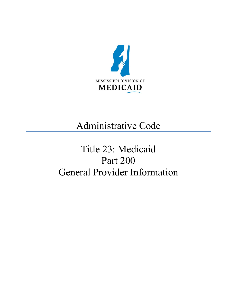

## Administrative Code

# Title 23: Medicaid Part 200 General Provider Information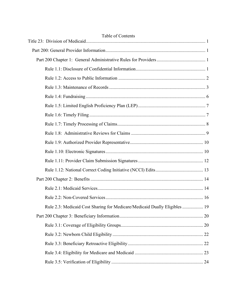| Table of Contents                                                          |
|----------------------------------------------------------------------------|
|                                                                            |
|                                                                            |
|                                                                            |
|                                                                            |
|                                                                            |
|                                                                            |
|                                                                            |
|                                                                            |
|                                                                            |
|                                                                            |
|                                                                            |
|                                                                            |
|                                                                            |
|                                                                            |
|                                                                            |
|                                                                            |
|                                                                            |
| Rule 2.3: Medicaid Cost Sharing for Medicare/Medicaid Dually Eligibles  19 |
|                                                                            |
|                                                                            |
|                                                                            |
|                                                                            |
|                                                                            |
|                                                                            |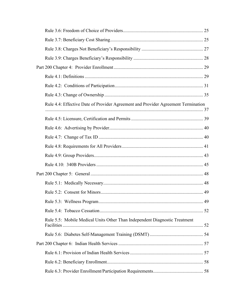| Rule 4.4: Effective Date of Provider Agreement and Provider Agreement Termination |  |
|-----------------------------------------------------------------------------------|--|
|                                                                                   |  |
|                                                                                   |  |
|                                                                                   |  |
|                                                                                   |  |
|                                                                                   |  |
|                                                                                   |  |
|                                                                                   |  |
|                                                                                   |  |
|                                                                                   |  |
|                                                                                   |  |
|                                                                                   |  |
| Rule 5.5: Mobile Medical Units Other Than Independent Diagnostic Treatment        |  |
|                                                                                   |  |
|                                                                                   |  |
|                                                                                   |  |
|                                                                                   |  |
|                                                                                   |  |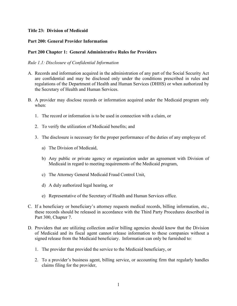## <span id="page-4-0"></span>**Title 23: Division of Medicaid**

## <span id="page-4-1"></span>**Part 200: General Provider Information**

## <span id="page-4-2"></span>**Part 200 Chapter 1: General Administrative Rules for Providers**

## <span id="page-4-3"></span>*Rule 1.1: Disclosure of Confidential Information*

- A. Records and information acquired in the administration of any part of the Social Security Act are confidential and may be disclosed only under the conditions prescribed in rules and regulations of the Department of Health and Human Services (DHHS) or when authorized by the Secretary of Health and Human Services.
- B. A provider may disclose records or information acquired under the Medicaid program only when:
	- 1. The record or information is to be used in connection with a claim, or
	- 2. To verify the utilization of Medicaid benefits; and
	- 3. The disclosure is necessary for the proper performance of the duties of any employee of:
		- a) The Division of Medicaid,
		- b) Any public or private agency or organization under an agreement with Division of Medicaid in regard to meeting requirements of the Medicaid program,
		- c) The Attorney General Medicaid Fraud Control Unit,
		- d) A duly authorized legal hearing, or
		- e) Representative of the Secretary of Health and Human Services office.
- C. If a beneficiary or beneficiary's attorney requests medical records, billing information, etc., these records should be released in accordance with the Third Party Procedures described in Part 300, Chapter 7.
- D. Providers that are utilizing collection and/or billing agencies should know that the Division of Medicaid and its fiscal agent cannot release information to these companies without a signed release from the Medicaid beneficiary. Information can only be furnished to:
	- 1. The provider that provided the service to the Medicaid beneficiary, or
	- 2. To a provider's business agent, billing service, or accounting firm that regularly handles claims filing for the provider,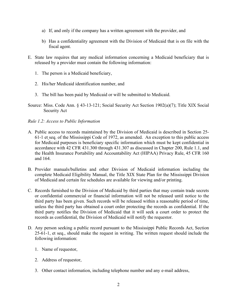- a) If, and only if the company has a written agreement with the provider, and
- b) Has a confidentiality agreement with the Division of Medicaid that is on file with the fiscal agent.
- E. State law requires that any medical information concerning a Medicaid beneficiary that is released by a provider must contain the following information:
	- 1. The person is a Medicaid beneficiary,
	- 2. His/her Medicaid identification number, and
	- 3. The bill has been paid by Medicaid or will be submitted to Medicaid.
- Source: Miss. Code Ann. § 43-13-121; Social Security Act Section 1902(a)(7); Title XIX Social Security Act

#### <span id="page-5-0"></span>*Rule 1.2: Access to Public Information*

- A. Public access to records maintained by the Division of Medicaid is described in Section 25- 61-1 et seq. of the Mississippi Code of 1972, as amended. An exception to this public access for Medicaid purposes is beneficiary specific information which must be kept confidential in accordance with 42 CFR 431.300 through 431.307 as discussed in Chapter 200, Rule 1.1, and the Health Insurance Portability and Accountability Act (HIPAA) Privacy Rule, 45 CFR 160 and 164.
- B. Provider manuals/bulletins and other Division of Medicaid information including the complete Medicaid Eligibility Manual, the Title XIX State Plan for the Mississippi Division of Medicaid and certain fee schedules are available for viewing and/or printing.
- C. Records furnished to the Division of Medicaid by third parties that may contain trade secrets or confidential commercial or financial information will not be released until notice to the third party has been given. Such records will be released within a reasonable period of time, unless the third party has obtained a court order protecting the records as confidential. If the third party notifies the Division of Medicaid that it will seek a court order to protect the records as confidential, the Division of Medicaid will notify the requestor.
- D. Any person seeking a public record pursuant to the Mississippi Public Records Act, Section 25-61-1, et seq., should make the request in writing. The written request should include the following information:
	- 1. Name of requestor,
	- 2. Address of requestor,
	- 3. Other contact information, including telephone number and any e-mail address,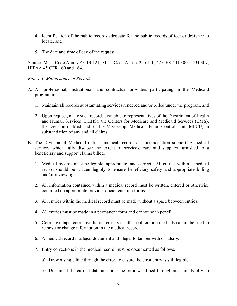- 4. Identification of the public records adequate for the public records officer or designee to locate, and
- 5. The date and time of day of the request.

Source: Miss. Code Ann. § 43-13-121; Miss. Code Ann. § 25-61-1; 42 CFR 431.300 – 431.307; HIPAA 45 CFR 160 and 164.

#### <span id="page-6-0"></span>*Rule 1.3: Maintenance of Records*

- A. All professional, institutional, and contractual providers participating in the Medicaid program must:
	- 1. Maintain all records substantiating services rendered and/or billed under the program, and
	- 2. Upon request, make such records available to representatives of the Department of Health and Human Services (DHHS), the Centers for Medicare and Medicaid Services (CMS), the Division of Medicaid, or the Mississippi Medicaid Fraud Control Unit (MFCU) in substantiation of any and all claims.
- B. The Division of Medicaid defines medical records as documentation supporting medical services which fully disclose the extent of services, care and supplies furnished to a beneficiary and support claims billed.
	- 1. Medical records must be legible, appropriate, and correct. All entries within a medical record should be written legibly to ensure beneficiary safety and appropriate billing and/or reviewing.
	- 2. All information contained within a medical record must be written, entered or otherwise compiled on appropriate provider documentation forms.
	- 3. All entries within the medical record must be made without a space between entries.
	- 4. All entries must be made in a permanent form and cannot be in pencil.
	- 5. Corrective tape, corrective liquid, erasers or other obliteration methods cannot be used to remove or change information in the medical record.
	- 6. A medical record is a legal document and illegal to tamper with or falsify.
	- 7. Entry corrections in the medical record must be documented as follows.
		- a) Draw a single line through the error, to ensure the error entry is still legible.
		- b) Document the current date and time the error was lined through and initials of who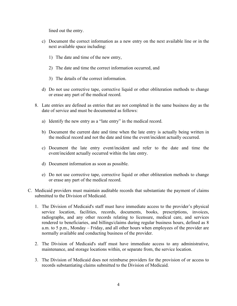lined out the entry.

- c) Document the correct information as a new entry on the next available line or in the next available space including:
	- 1) The date and time of the new entry,
	- 2) The date and time the correct information occurred, and
	- 3) The details of the correct information.
- d) Do not use corrective tape, corrective liquid or other obliteration methods to change or erase any part of the medical record.
- 8. Late entries are defined as entries that are not completed in the same business day as the date of service and must be documented as follows:
	- a) Identify the new entry as a "late entry" in the medical record.
	- b) Document the current date and time when the late entry is actually being written in the medical record and not the date and time the event/incident actually occurred.
	- c) Document the late entry event/incident and refer to the date and time the event/incident actually occurred within the late entry.
	- d) Document information as soon as possible.
	- e) Do not use corrective tape, corrective liquid or other obliteration methods to change or erase any part of the medical record.
- C. Medicaid providers must maintain auditable records that substantiate the payment of claims submitted to the Division of Medicaid.
	- 1. The Division of Medicaid's staff must have immediate access to the provider's physical service location, facilities, records, documents, books, prescriptions, invoices, radiographs, and any other records relating to licensure, medical care, and services rendered to beneficiaries, and billings/claims during regular business hours, defined as 8 a.m. to 5 p.m., Monday – Friday, and all other hours when employees of the provider are normally available and conducting business of the provider.
	- 2. The Division of Medicaid's staff must have immediate access to any administrative, maintenance, and storage locations within, or separate from, the service location.
	- 3. The Division of Medicaid does not reimburse providers for the provision of or access to records substantiating claims submitted to the Division of Medicaid.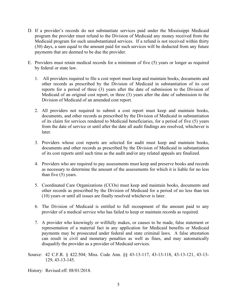- D. If a provider's records do not substantiate services paid under the Mississippi Medicaid program the provider must refund to the Division of Medicaid any money received from the Medicaid program for such unsubstantiated services. If a refund is not received within thirty (30) days, a sum equal to the amount paid for such services will be deducted from any future payments that are deemed to be due the provider.
- E. Providers must retain medical records for a minimum of five (5) years or longer as required by federal or state law.
	- 1. All providers required to file a cost report must keep and maintain books, documents and other records as prescribed by the Division of Medicaid in substantiation of its cost reports for a period of three (3) years after the date of submission to the Division of Medicaid of an original cost report, or three (3) years after the date of submission to the Division of Medicaid of an amended cost report.
	- 2. All providers not required to submit a cost report must keep and maintain books, documents, and other records as prescribed by the Division of Medicaid in substantiation of its claim for services rendered to Medicaid beneficiaries, for a period of five (5) years from the date of service or until after the date all audit findings are resolved, whichever is later.
	- 3. Providers whose cost reports are selected for audit must keep and maintain books, documents and other records as prescribed by the Division of Medicaid in substantiation of its cost reports until such time as the audit and/or any related appeals are finalized.
	- 4. Providers who are required to pay assessments must keep and preserve books and records as necessary to determine the amount of the assessments for which it is liable for no less than five (5) years.
	- 5. Coordinated Care Organizations (CCOs) must keep and maintain books, documents and other records as prescribed by the Division of Medicaid for a period of no less than ten (10) years or until all issues are finally resolved whichever is later.
	- 6. The Division of Medicaid is entitled to full recoupment of the amount paid to any provider of a medical service who has failed to keep or maintain records as required.
	- 7. A provider who knowingly or willfully makes, or causes to be made, false statement or representation of a material fact in any application for Medicaid benefits or Medicaid payments may be prosecuted under federal and state criminal laws. A false attestation can result in civil and monetary penalties as well as fines, and may automatically disqualify the provider as a provider of Medicaid services.
- Source: 42 C.F.R. § 422.504; Miss. Code Ann. §§ 43-13-117, 43-13-118, 43-13-121, 43-13- 129, 43-13-145.

History: Revised eff. 08/01/2018.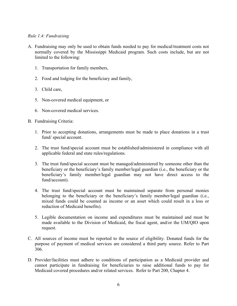#### <span id="page-9-0"></span>*Rule 1.4: Fundraising*

- A. Fundraising may only be used to obtain funds needed to pay for medical/treatment costs not normally covered by the Mississippi Medicaid program. Such costs include, but are not limited to the following:
	- 1. Transportation for family members,
	- 2. Food and lodging for the beneficiary and family,
	- 3. Child care,
	- 5. Non-covered medical equipment, or
	- 6. Non-covered medical services.
- B. Fundraising Criteria:
	- 1. Prior to accepting donations, arrangements must be made to place donations in a trust fund/ special account.
	- 2. The trust fund/special account must be established/administered in compliance with all applicable federal and state rules/regulations.
	- 3. The trust fund/special account must be managed/administered by someone other than the beneficiary or the beneficiary's family member/legal guardian (i.e., the beneficiary or the beneficiary's family member/legal guardian may not have direct access to the fund/account).
	- 4. The trust fund/special account must be maintained separate from personal monies belonging to the beneficiary or the beneficiary's family member/legal guardian (i.e., mixed funds could be counted as income or an asset which could result in a loss or reduction of Medicaid benefits).
	- 5. Legible documentation on income and expenditures must be maintained and must be made available to the Division of Medicaid, the fiscal agent, and/or the UM/QIO upon request.
- C. All sources of income must be reported to the source of eligibility. Donated funds for the purpose of payment of medical services are considered a third party source. Refer to Part 306.
- D. Provider/facilities must adhere to conditions of participation as a Medicaid provider and cannot participate in fundraising for beneficiaries to raise additional funds to pay for Medicaid covered procedures and/or related services. Refer to Part 200, Chapter 4.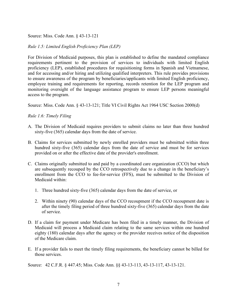Source: Miss. Code Ann. § 43-13-121

## <span id="page-10-0"></span>*Rule 1.5: Limited English Proficiency Plan (LEP)*

For Division of Medicaid purposes, this plan is established to define the mandated compliance requirements pertinent to the provision of services to individuals with limited English proficiency (LEP), established procedures for requisitioning forms in Spanish and Vietnamese, and for accessing and/or hiring and utilizing qualified interpreters. This rule provides provisions to ensure awareness of the program by beneficiaries/applicants with limited English proficiency, employee training and requirements for reporting, records retention for the LEP program and monitoring oversight of the language assistance program to ensure LEP persons meaningful access to the program.

Source: Miss. Code Ann. § 43-13-121; Title VI Civil Rights Act 1964 USC Section 2000(d)

## <span id="page-10-1"></span>*Rule 1.6: Timely Filing*

- A. The Division of Medicaid requires providers to submit claims no later than three hundred sixty-five (365) calendar days from the date of service.
- B. Claims for services submitted by newly enrolled providers must be submitted within three hundred sixty-five (365) calendar days from the date of service and must be for services provided on or after the effective date of the provider's enrollment.
- C. Claims originally submitted to and paid by a coordinated care organization (CCO) but which are subsequently recouped by the CCO retrospectively due to a change in the beneficiary's enrollment from the CCO to fee-for-service (FFS), must be submitted to the Division of Medicaid within:
	- 1. Three hundred sixty-five (365) calendar days from the date of service, or
	- 2. Within ninety (90) calendar days of the CCO recoupment if the CCO recoupment date is after the timely filing period of three hundred sixty-five (365) calendar days from the date of service.
- D. If a claim for payment under Medicare has been filed in a timely manner, the Division of Medicaid will process a Medicaid claim relating to the same services within one hundred eighty (180) calendar days after the agency or the provider receives notice of the disposition of the Medicare claim.
- E. If a provider fails to meet the timely filing requirements, the beneficiary cannot be billed for those services.

Source: 42 C.F.R. § 447.45; Miss. Code Ann. §§ 43-13-113, 43-13-117, 43-13-121.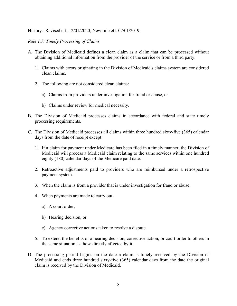History: Revised eff. 12/01/2020; New rule eff. 07/01/2019.

## <span id="page-11-0"></span>*Rule 1.7: Timely Processing of Claims*

- A. The Division of Medicaid defines a clean claim as a claim that can be processed without obtaining additional information from the provider of the service or from a third party.
	- 1. Claims with errors originating in the Division of Medicaid's claims system are considered clean claims.
	- 2. The following are not considered clean claims:
		- a) Claims from providers under investigation for fraud or abuse, or
		- b) Claims under review for medical necessity.
- B. The Division of Medicaid processes claims in accordance with federal and state timely processing requirements.
- C. The Division of Medicaid processes all claims within three hundred sixty-five (365) calendar days from the date of receipt except:
	- 1. If a claim for payment under Medicare has been filed in a timely manner, the Division of Medicaid will process a Medicaid claim relating to the same services within one hundred eighty (180) calendar days of the Medicare paid date.
	- 2. Retroactive adjustments paid to providers who are reimbursed under a retrospective payment system.
	- 3. When the claim is from a provider that is under investigation for fraud or abuse.
	- 4. When payments are made to carry out:
		- a) A court order,
		- b) Hearing decision, or
		- c) Agency corrective actions taken to resolve a dispute.
	- 5. To extend the benefits of a hearing decision, corrective action, or court order to others in the same situation as those directly affected by it.
- D. The processing period begins on the date a claim is timely received by the Division of Medicaid and ends three hundred sixty-five (365) calendar days from the date the original claim is received by the Division of Medicaid.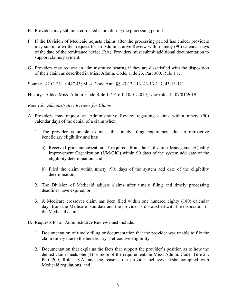- E. Providers may submit a corrected claim during the processing period.
- F. If the Division of Medicaid adjusts claims after the processing period has ended, providers may submit a written request for an Administrative Review within ninety (90) calendar days of the date of the remittance advice (RA). Providers must submit additional documentation to support claims payment.
- G. Providers may request an administrative hearing if they are dissatisfied with the disposition of their claim as described in Miss. Admin. Code, Title 23, Part 300, Rule 1.1.

Source: 42 C.F.R. § 447.45; Miss. Code Ann. §§ 43-13-113, 43-13-117, 43-13-121.

History: Added Miss. Admin. Code Rule 1.7.F. eff. 10/01/2019; New rule eff. 07/01/2019.

#### <span id="page-12-0"></span>*Rule 1.8: Administrative Reviews for Claims*

- A. Providers may request an Administrative Review regarding claims within ninety (90) calendar days of the denial of a claim when:
	- 1. The provider is unable to meet the timely filing requirement due to retroactive beneficiary eligibility and has:
		- a) Received prior authorization, if required, from the Utilization Management/Quality Improvement Organization (UM/QIO) within 90 days of the system add date of the eligibility determination, and
		- b) Filed the claim within ninety (90) days of the system add date of the eligibility determination,
	- 2. The Division of Medicaid adjusts claims after timely filing and timely processing deadlines have expired, or
	- 3. A Medicare crossover claim has been filed within one hundred eighty (180) calendar days from the Medicare paid date and the provider is dissatisfied with the disposition of the Medicaid claim.
- B. Requests for an Administrative Review must include:
	- 1. Documentation of timely filing or documentation that the provider was unable to file the claim timely due to the beneficiary's retroactive eligibility,
	- 2. Documentation that explains the facts that support the provider's position as to how the denied claim meets one (1) or more of the requirements in Miss. Admin. Code, Title 23, Part 200, Rule 1.8.A. and the reasons the provider believes he/she complied with Medicaid regulations, and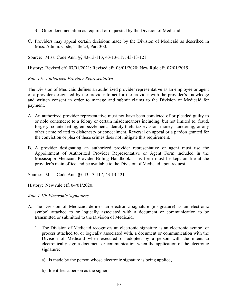- 3. Other documentation as required or requested by the Division of Medicaid.
- C. Providers may appeal certain decisions made by the Division of Medicaid as described in Miss. Admin. Code, Title 23, Part 300.

Source: Miss. Code Ann. §§ 43-13-113, 43-13-117, 43-13-121.

History: Revised eff. 07/01/2021; Revised eff. 08/01/2020; New Rule eff. 07/01/2019.

## <span id="page-13-0"></span>*Rule 1.9: Authorized Provider Representative*

The Division of Medicaid defines an authorized provider representative as an employee or agent of a provider designated by the provider to act for the provider with the provider's knowledge and written consent in order to manage and submit claims to the Division of Medicaid for payment.

- A. An authorized provider representative must not have been convicted of or pleaded guilty to or nolo contendere to a felony or certain misdemeanors including, but not limited to, fraud, forgery, counterfeiting, embezzlement, identity theft, tax evasion, money laundering, or any other crime related to dishonesty or concealment. Reversal on appeal or a pardon granted for the conviction or plea of these crimes does not mitigate this requirement.
- B. A provider designating an authorized provider representative or agent must use the Appointment of Authorized Provider Representative or Agent Form included in the Mississippi Medicaid Provider Billing Handbook. This form must be kept on file at the provider's main office and be available to the Division of Medicaid upon request.

Source: Miss. Code Ann. §§ 43-13-117, 43-13-121.

History: New rule eff. 04/01/2020.

#### <span id="page-13-1"></span>*Rule 1.10: Electronic Signatures*

- A. The Division of Medicaid defines an electronic signature (e-signature) as an electronic symbol attached to or logically associated with a document or communication to be transmitted or submitted to the Division of Medicaid.
	- 1. The Division of Medicaid recognizes an electronic signature as an electronic symbol or process attached to, or logically associated with, a document or communication with the Division of Medicaid when executed or adopted by a person with the intent to electronically sign a document or communication when the application of the electronic signature:
		- a) Is made by the person whose electronic signature is being applied,
		- b) Identifies a person as the signer,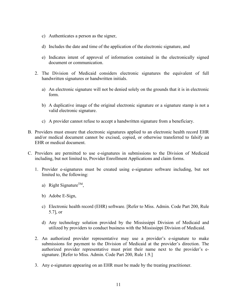- c) Authenticates a person as the signer,
- d) Includes the date and time of the application of the electronic signature, and
- e) Indicates intent of approval of information contained in the electronically signed document or communication.
- 2. The Division of Medicaid considers electronic signatures the equivalent of full handwritten signatures or handwritten initials.
	- a) An electronic signature will not be denied solely on the grounds that it is in electronic form.
	- b) A duplicative image of the original electronic signature or a signature stamp is not a valid electronic signature.
	- c) A provider cannot refuse to accept a handwritten signature from a beneficiary.
- B. Providers must ensure that electronic signatures applied to an electronic health record EHR and/or medical document cannot be excised, copied, or otherwise transferred to falsify an EHR or medical document.
- C. Providers are permitted to use e-signatures in submissions to the Division of Medicaid including, but not limited to, Provider Enrollment Applications and claim forms.
	- 1. Provider e-signatures must be created using e-signature software including, but not limited to, the following:
		- a) Right Signature<sup>TM</sup>,
		- b) Adobe E-Sign,
		- c) Electronic health record (EHR) software. [Refer to Miss. Admin. Code Part 200, Rule 5.7], or
		- d) Any technology solution provided by the Mississippi Division of Medicaid and utilized by providers to conduct business with the Mississippi Division of Medicaid.
	- 2. An authorized provider representative may use a provider's e-signature to make submissions for payment to the Division of Medicaid at the provider's direction. The authorized provider representative must print their name next to the provider's esignature. [Refer to Miss. Admin. Code Part 200, Rule 1.9.]
	- 3. Any e-signature appearing on an EHR must be made by the treating practitioner.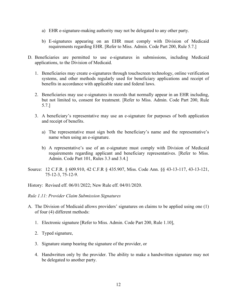- a) EHR e-signature-making authority may not be delegated to any other party.
- b) E-signatures appearing on an EHR must comply with Division of Medicaid requirements regarding EHR. [Refer to Miss. Admin. Code Part 200, Rule 5.7.]
- D. Beneficiaries are permitted to use e-signatures in submissions, including Medicaid applications, to the Division of Medicaid.
	- 1. Beneficiaries may create e-signatures through touchscreen technology, online verification systems, and other methods regularly used for beneficiary applications and receipt of benefits in accordance with applicable state and federal laws.
	- 2. Beneficiaries may use e-signatures in records that normally appear in an EHR including, but not limited to, consent for treatment. [Refer to Miss. Admin. Code Part 200, Rule 5.7.]
	- 3. A beneficiary's representative may use an e-signature for purposes of both application and receipt of benefits.
		- a) The representative must sign both the beneficiary's name and the representative's name when using an e-signature.
		- b) A representative's use of an e-signature must comply with Division of Medicaid requirements regarding applicant and beneficiary representatives. [Refer to Miss. Admin. Code Part 101, Rules 3.3 and 3.4.]
- Source: 12 C.F.R. § 609.910, 42 C.F.R § 435.907, Miss. Code Ann. §§ 43-13-117, 43-13-121, 75-12-3, 75-12-9.

History: Revised eff. 06/01/2022; New Rule eff. 04/01/2020.

#### <span id="page-15-0"></span>*Rule 1.11: Provider Claim Submission Signatures*

- A. The Division of Medicaid allows providers' signatures on claims to be applied using one (1) of four (4) different methods:
	- 1. Electronic signature [Refer to Miss. Admin. Code Part 200, Rule 1.10],
	- 2. Typed signature,
	- 3. Signature stamp bearing the signature of the provider, or
	- 4. Handwritten only by the provider. The ability to make a handwritten signature may not be delegated to another party.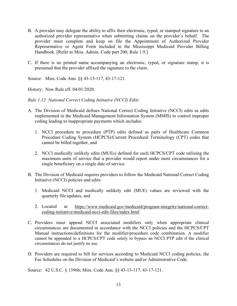- B. A provider may delegate the ability to affix their electronic, typed, or stamped signature to an authorized provider representative when submitting claims on the provider's behalf. The provider must complete and keep on file the Appointment of Authorized Provider Representative or Agent Form included in the Mississippi Medicaid Provider Billing Handbook. [Refer to Miss. Admin. Code part 200, Rule 1.9.]
- C. If there is no printed name accompanying an electronic, typed, or signature stamp, it is presumed that the provider affixed the signature to the claim.

Source: Miss. Code Ann. §§ 43-13-117, 43-17-121.

History: New Rule eff. 04/01/2020.

<span id="page-16-0"></span>*Rule 1.12: National Correct Coding Initiative (NCCI) Edits*

- A. The Division of Medicaid defines National Correct Coding Initiative (NCCI) edits as edits implemented in the Medicaid Management Information System (MMIS) to control improper coding leading to inappropriate payments which includes:
	- 1. NCCI procedure to procedure (PTP) edits defined as pairs of Healthcare Common Procedure Coding System (HCPCS)/Current Procedural Terminology (CPT) codes that cannot be billed together, and
	- 2. NCCI medically unlikely edits (MUEs) defined for each HCPCS/CPT code utilizing the maximum units of service that a provider would report under most circumstances for a single beneficiary on a single date of service.
- B. The Division of Medicaid requires providers to follow the Medicaid National Correct Coding Initiative (NCCI) policies and edits:
	- 1. Medicaid NCCI and medically unlikely edit (MUE) values are reviewed with the quarterly file updates, and
	- 2. Located at [https://www.medicaid.gov/medicaid/program-integrity/national-correct](https://www.medicaid.gov/medicaid/program-integrity/national-correct-coding-initiative/medicaid-ncci-edit-files/index.html)[coding-initiative/medicaid-ncci-edit-files/index.html](https://www.medicaid.gov/medicaid/program-integrity/national-correct-coding-initiative/medicaid-ncci-edit-files/index.html)
- C. Providers must append NCCI associated modifiers only when appropriate clinical circumstances are documented in accordance with the NCCI policies and the HCPCS/CPT Manual instructions/definitions for the modifier/procedure code combination. A modifier cannot be appended to a HCPCS/CPT code solely to bypass an NCCI PTP edit if the clinical circumstances do not justify its use.
- D. Providers are required to bill for services according to Medicaid NCCI coding policies, the Fee Schedules on the Division of Medicaid's website and/or Administrative Code.

Source: 42 U.S.C. § 1396b; Miss. Code Ann. §§ 43-13-117, 43-17-121.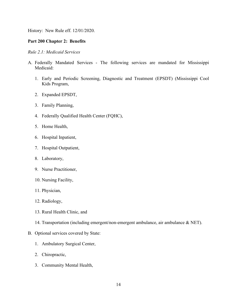History: New Rule eff. 12/01/2020.

## <span id="page-17-0"></span>**Part 200 Chapter 2: Benefits**

## <span id="page-17-1"></span>*Rule 2.1: Medicaid Services*

- A. Federally Mandated Services The following services are mandated for Mississippi Medicaid:
	- 1. Early and Periodic Screening, Diagnostic and Treatment (EPSDT) (Mississippi Cool Kids Program,
	- 2. Expanded EPSDT,
	- 3. Family Planning,
	- 4. Federally Qualified Health Center (FQHC),
	- 5. Home Health,
	- 6. Hospital Inpatient,
	- 7. Hospital Outpatient,
	- 8. Laboratory,
	- 9. Nurse Practitioner,
	- 10. Nursing Facility,
	- 11. Physician,
	- 12. Radiology,
	- 13. Rural Health Clinic, and
	- 14. Transportation (including emergent/non-emergent ambulance, air ambulance & NET).

#### B. Optional services covered by State:

- 1. Ambulatory Surgical Center,
- 2. Chiropractic,
- 3. Community Mental Health,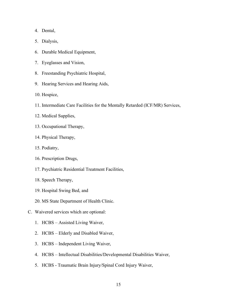4. Dental,

- 5. Dialysis,
- 6. Durable Medical Equipment,
- 7. Eyeglasses and Vision,
- 8. Freestanding Psychiatric Hospital,
- 9. Hearing Services and Hearing Aids,
- 10. Hospice,
- 11. Intermediate Care Facilities for the Mentally Retarded (ICF/MR) Services,
- 12. Medical Supplies,
- 13. Occupational Therapy,
- 14. Physical Therapy,
- 15. Podiatry,
- 16. Prescription Drugs,
- 17. Psychiatric Residential Treatment Facilities,
- 18. Speech Therapy,
- 19. Hospital Swing Bed, and
- 20. MS State Department of Health Clinic.
- C. Waivered services which are optional:
	- 1. HCBS Assisted Living Waiver,
	- 2. HCBS Elderly and Disabled Waiver,
	- 3. HCBS Independent Living Waiver,
	- 4. HCBS Intellectual Disabilities/Developmental Disabilities Waiver,
	- 5. HCBS Traumatic Brain Injury/Spinal Cord Injury Waiver,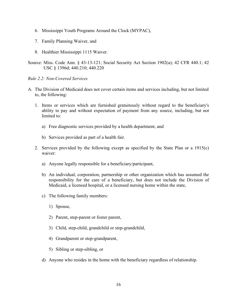- 6. Mississippi Youth Programs Around the Clock (MYPAC),
- 7. Family Planning Waiver, and
- 8. Healthier Mississippi 1115 Waiver.
- Source: Miss. Code Ann. § 43-13-121; Social Security Act Section 1902(a); 42 CFR 440.1; 42 USC § 1396d; 440.210; 440.220

#### <span id="page-19-0"></span>*Rule 2.2: Non-Covered Services*

- A. The Division of Medicaid does not cover certain items and services including, but not limited to, the following:
	- 1. Items or services which are furnished gratuitously without regard to the beneficiary's ability to pay and without expectation of payment from any source, including, but not limited to:
		- a) Free diagnostic services provided by a health department, and
		- b) Services provided as part of a health fair.
	- 2. Services provided by the following except as specified by the State Plan or a 1915(c) waiver:
		- a) Anyone legally responsible for a beneficiary/participant,
		- b) An individual, corporation, partnership or other organization which has assumed the responsibility for the care of a beneficiary, but does not include the Division of Medicaid, a licensed hospital, or a licensed nursing home within the state,
		- c) The following family members:
			- 1) Spouse,
			- 2) Parent, step-parent or foster parent,
			- 3) Child, step-child, grandchild or step-grandchild,
			- 4) Grandparent or step-grandparent,
			- 5) Sibling or step-sibling, or
		- d) Anyone who resides in the home with the beneficiary regardless of relationship.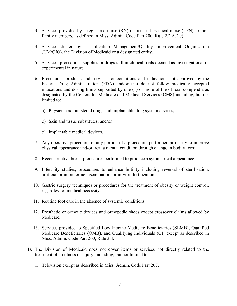- 3. Services provided by a registered nurse (RN) or licensed practical nurse (LPN) to their family members, as defined in Miss. Admin. Code Part 200, Rule 2.2 A.2.c).
- 4. Services denied by a Utilization Management/Quality Improvement Organization (UM/QIO), the Division of Medicaid or a designated entity.
- 5. Services, procedures, supplies or drugs still in clinical trials deemed as investigational or experimental in nature.
- 6. Procedures, products and services for conditions and indications not approved by the Federal Drug Administration (FDA) and/or that do not follow medically accepted indications and dosing limits supported by one (1) or more of the official compendia as designated by the Centers for Medicare and Medicaid Services (CMS) including, but not limited to:
	- a) Physician administered drugs and implantable drug system devices,
	- b) Skin and tissue substitutes, and/or
	- c) Implantable medical devices.
- 7. Any operative procedure, or any portion of a procedure, performed primarily to improve physical appearance and/or treat a mental condition through change in bodily form.
- 8. Reconstructive breast procedures performed to produce a symmetrical appearance.
- 9. Infertility studies, procedures to enhance fertility including reversal of sterilization, artificial or intrauterine insemination, or in-vitro fertilization.
- 10. Gastric surgery techniques or procedures for the treatment of obesity or weight control, regardless of medical necessity.
- 11. Routine foot care in the absence of systemic conditions.
- 12. Prosthetic or orthotic devices and orthopedic shoes except crossover claims allowed by Medicare.
- 13. Services provided to Specified Low Income Medicare Beneficiaries (SLMB), Qualified Medicare Beneficiaries (QMB), and Qualifying Individuals (QI) except as described in Miss. Admin. Code Part 200, Rule 3.4.
- B. The Division of Medicaid does not cover items or services not directly related to the treatment of an illness or injury, including, but not limited to:
	- 1. Television except as described in Miss. Admin. Code Part 207,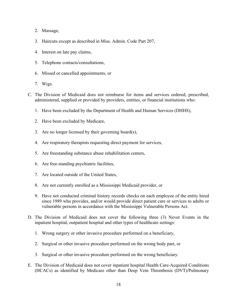- 2. Massage,
- 3. Haircuts except as described in Miss. Admin. Code Part 207,
- 4. Interest on late pay claims,
- 5. Telephone contacts/consultations,
- 6. Missed or cancelled appointments, or
- 7. Wigs.
- C. The Division of Medicaid does not reimburse for items and services ordered, prescribed, administered, supplied or provided by providers, entities, or financial institutions who:
	- 1. Have been excluded by the Department of Health and Human Services (DHHS),
	- 2. Have been excluded by Medicare,
	- 3. Are no longer licensed by their governing board(s),
	- 4. Are respiratory therapists requesting direct payment for services,
	- 5. Are freestanding substance abuse rehabilitation centers,
	- 6. Are free-standing psychiatric facilities,
	- 7. Are located outside of the United States,
	- 8. Are not currently enrolled as a Mississippi Medicaid provider, or
	- 9. Have not conducted criminal history records checks on each employee of the entity hired since 1989 who provides, and/or would provide direct patient care or services to adults or vulnerable persons in accordance with the Mississippi Vulnerable Persons Act.
- D. The Division of Medicaid does not cover the following three (3) Never Events in the inpatient hospital, outpatient hospital and other types of healthcare settings:
	- 1. Wrong surgery or other invasive procedure performed on a beneficiary,
	- 2. Surgical or other invasive procedure performed on the wrong body part, or
	- 3. Surgical or other invasive procedure performed on the wrong beneficiary.
- E. The Division of Medicaid does not cover inpatient hospital Health Care-Acquired Conditions (HCACs) as identified by Medicare other than Deep Vein Thrombosis (DVT)/Pulmonary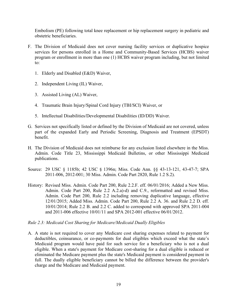Embolism (PE) following total knee replacement or hip replacement surgery in pediatric and obstetric beneficiaries.

- F. The Division of Medicaid does not cover nursing facility services or duplicative hospice services for persons enrolled in a Home and Community-Based Services (HCBS) waiver program or enrollment in more than one (1) HCBS waiver program including, but not limited to:
	- 1. Elderly and Disabled (E&D) Waiver,
	- 2. Independent Living (IL) Waiver,
	- 3. Assisted Living (AL) Waiver,
	- 4. Traumatic Brain Injury/Spinal Cord Injury (TBI/SCI) Waiver, or
	- 5. Intellectual Disabilities/Developmental Disabilities (ID/DD) Waiver.
- G. Services not specifically listed or defined by the Division of Medicaid are not covered, unless part of the expanded Early and Periodic Screening, Diagnosis and Treatment (EPSDT) benefit.
- H. The Division of Medicaid does not reimburse for any exclusion listed elsewhere in the Miss. Admin. Code Title 23, Mississippi Medicaid Bulletins, or other Mississippi Medicaid publications.
- Source: 29 USC § 1185b; 42 USC § 1396n; Miss. Code Ann. §§ 43-13-121, 43-47-7; SPA 2011-006, 2012-001; 30 Miss. Admin. Code Part 2820, Rule 1.2 S.2).
- History: Revised Miss. Admin. Code Part 200, Rule 2.2.F. eff. 06/01/2016; Added a New Miss. Admin. Code Part 200, Rule 2.2 A.2.a)-d) and C.9., reformatted and revised Miss. Admin. Code Part 200, Rule 2.2 including removing duplicative language, effective 12/01/2015; Added Miss. Admin. Code Part 200, Rule 2.2 A. 36. and Rule 2.2 D. eff. 10/01/2014; Rule 2.2 B. and 2.2 C. added to correspond with approved SPA 2011-004 and 2011-006 effective 10/01/11 and SPA 2012-001 effective 06/01/2012.

#### <span id="page-22-0"></span>*Rule 2.3: Medicaid Cost Sharing for Medicare/Medicaid Dually Eligibles*

A. A state is not required to cover any Medicare cost sharing expenses related to payment for deductibles, coinsurance, or co-payments for dual eligibles which exceed what the state's Medicaid program would have paid for such service for a beneficiary who is not a dual eligible. When a state's payment for Medicare cost-sharing for a dual eligible is reduced or eliminated the Medicare payment plus the state's Medicaid payment is considered payment in full. The dually eligible beneficiary cannot be billed the difference between the provider's charge and the Medicare and Medicaid payment.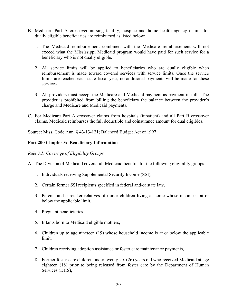- B. Medicare Part A crossover nursing facility, hospice and home health agency claims for dually eligible beneficiaries are reimbursed as listed below:
	- 1. The Medicaid reimbursement combined with the Medicare reimbursement will not exceed what the Mississippi Medicaid program would have paid for such service for a beneficiary who is not dually eligible.
	- 2. All service limits will be applied to beneficiaries who are dually eligible when reimbursement is made toward covered services with service limits. Once the service limits are reached each state fiscal year, no additional payments will be made for these services.
	- 3. All providers must accept the Medicare and Medicaid payment as payment in full. The provider is prohibited from billing the beneficiary the balance between the provider's charge and Medicare and Medicaid payments.
- C. For Medicare Part A crossover claims from hospitals (inpatient) and all Part B crossover claims, Medicaid reimburses the full deductible and coinsurance amount for dual eligibles.

Source: Miss. Code Ann. § 43-13-121; Balanced Budget Act of 1997

## <span id="page-23-0"></span>**Part 200 Chapter 3: Beneficiary Information**

<span id="page-23-1"></span>*Rule 3.1: Coverage of Eligibility Groups* 

A. The Division of Medicaid covers full Medicaid benefits for the following eligibility groups:

- 1. Individuals receiving Supplemental Security Income (SSI),
- 2. Certain former SSI recipients specified in federal and/or state law,
- 3. Parents and caretaker relatives of minor children living at home whose income is at or below the applicable limit,
- 4. Pregnant beneficiaries,
- 5. Infants born to Medicaid eligible mothers,
- 6. Children up to age nineteen (19) whose household income is at or below the applicable limit,
- 7. Children receiving adoption assistance or foster care maintenance payments,
- 8. Former foster care children under twenty-six (26) years old who received Medicaid at age eighteen (18) prior to being released from foster care by the Department of Human Services (DHS),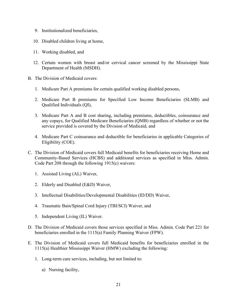- 9. Institutionalized beneficiaries,
- 10. Disabled children living at home,
- 11. Working disabled, and
- 12. Certain women with breast and/or cervical cancer screened by the Mississippi State Department of Health (MSDH).
- B. The Division of Medicaid covers:
	- 1. Medicare Part A premiums for certain qualified working disabled persons,
	- 2. Medicare Part B premiums for Specified Low Income Beneficiaries (SLMB) and Qualified Individuals (QI),
	- 3. Medicare Part A and B cost sharing, including premiums, deductibles, coinsurance and any copays, for Qualified Medicare Beneficiaries (QMB) regardless of whether or not the service provided is covered by the Division of Medicaid, and
	- 4. Medicare Part C coinsurance and deductible for beneficiaries in applicable Categories of Eligibility (COE).
- C. The Division of Medicaid covers full Medicaid benefits for beneficiaries receiving Home and Community-Based Services (HCBS) and additional services as specified in Miss. Admin. Code Part 208 through the following 1915(c) waivers:
	- 1. Assisted Living (AL) Waiver,
	- 2. Elderly and Disabled (E&D) Waiver,
	- 3. Intellectual Disabilities/Developmental Disabilities (ID/DD) Waiver,
	- 4. Traumatic Bain/Spinal Cord Injury (TBI/SCI) Waiver, and
	- 5. Independent Living (IL) Waiver.
- D. The Division of Medicaid covers those services specified in Miss. Admin. Code Part 221 for beneficiaries enrolled in the 1115(a) Family Planning Waiver (FPW).
- E. The Division of Medicaid covers full Medicaid benefits for beneficiaries enrolled in the 1115(a) Healthier Mississippi Waiver (HMW) excluding the following:
	- 1. Long-term care services, including, but not limited to:
		- a) Nursing facility,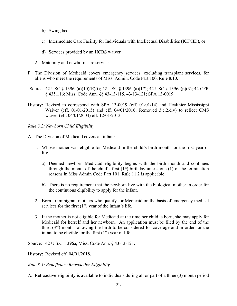- b) Swing bed,
- c) Intermediate Care Facility for Individuals with Intellectual Disabilities (ICF/IID), or
- d) Services provided by an HCBS waiver.
- 2. Maternity and newborn care services.
- F. The Division of Medicaid covers emergency services, excluding transplant services, for aliens who meet the requirements of Miss. Admin. Code Part 100, Rule 8.10.
- Source: 42 USC § 1396a(a)(10)(E)(i); 42 USC § 1396a(a)(17); 42 USC § 1396d(p)(3); 42 CFR § 435.116; Miss. Code Ann. §§ 43-13-115, 43-13-121; SPA 13-0019.
- History: Revised to correspond with SPA 13-0019 (eff. 01/01/14) and Healthier Mississippi Waiver (eff. 01/01/2015) and eff. 04/01/2016; Removed 3.c.2.d.v) to reflect CMS waiver (eff. 04/01/2004) eff. 12/01/2013.

<span id="page-25-0"></span>*Rule 3.2: Newborn Child Eligibility*

- A. The Division of Medicaid covers an infant:
	- 1. Whose mother was eligible for Medicaid in the child's birth month for the first year of life.
		- a) Deemed newborn Medicaid eligibility begins with the birth month and continues through the month of the child's first  $(1<sup>st</sup>)$  birthday unless one  $(1)$  of the termination reasons in Miss Admin Code Part 101, Rule 11.2 is applicable.
		- b) There is no requirement that the newborn live with the biological mother in order for the continuous eligibility to apply for the infant.
	- 2. Born to immigrant mothers who qualify for Medicaid on the basis of emergency medical services for the first  $(1<sup>st</sup>)$  year of the infant's life.
	- 3. If the mother is not eligible for Medicaid at the time her child is born, she may apply for Medicaid for herself and her newborn. An application must be filed by the end of the third  $(3<sup>rd</sup>)$  month following the birth to be considered for coverage and in order for the infant to be eligible for the first  $(1<sup>st</sup>)$  year of life.

Source: 42 U.S.C. 1396a; Miss. Code Ann. § 43-13-121.

History: Revised eff. 04/01/2018.

<span id="page-25-1"></span>*Rule 3.3: Beneficiary Retroactive Eligibility*

A. Retroactive eligibility is available to individuals during all or part of a three (3) month period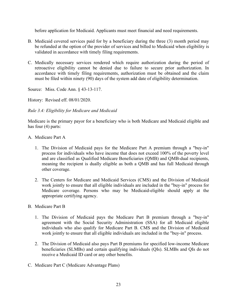before application for Medicaid. Applicants must meet financial and need requirements.

- B. Medicaid covered services paid for by a beneficiary during the three (3) month period may be refunded at the option of the provider of services and billed to Medicaid when eligibility is validated in accordance with timely filing requirements.
- C. Medically necessary services rendered which require authorization during the period of retroactive eligibility cannot be denied due to failure to secure prior authorization. In accordance with timely filing requirements, authorization must be obtained and the claim must be filed within ninety (90) days of the system add date of eligibility determination.

Source: Miss. Code Ann. § 43-13-117.

History: Revised eff. 08/01/2020.

<span id="page-26-0"></span>*Rule 3.4: Eligibility for Medicare and Medicaid*

Medicare is the primary payor for a beneficiary who is both Medicare and Medicaid eligible and has four (4) parts:

- A. Medicare Part A
	- 1. The Division of Medicaid pays for the Medicare Part A premium through a "buy-in" process for individuals who have income that does not exceed 100% of the poverty level and are classified as Qualified Medicare Beneficiaries (QMB) and QMB-dual recipients, meaning the recipient is dually eligible as both a QMB and has full Medicaid through other coverage.
	- 2. The Centers for Medicare and Medicaid Services (CMS) and the Division of Medicaid work jointly to ensure that all eligible individuals are included in the "buy-in" process for Medicare coverage. Persons who may be Medicaid-eligible should apply at the appropriate certifying agency.
- B. Medicare Part B
	- 1. The Division of Medicaid pays the Medicare Part B premium through a "buy-in" agreement with the Social Security Administration (SSA) for all Medicaid eligible individuals who also qualify for Medicare Part B. CMS and the Division of Medicaid work jointly to ensure that all eligible individuals are included in the "buy-in" process.
	- 2. The Division of Medicaid also pays Part B premiums for specified low-income Medicare beneficiaries (SLMBs) and certain qualifying individuals (QIs). SLMBs and QIs do not receive a Medicaid ID card or any other benefits.
- C. Medicare Part C (Medicare Advantage Plans)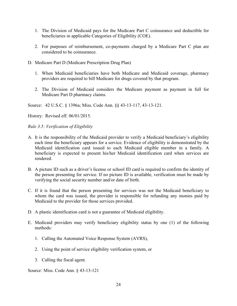- 1. The Division of Medicaid pays for the Medicare Part C coinsurance and deductible for beneficiaries in applicable Categories of Eligibility (COE).
- 2. For purposes of reimbursement, co-payments charged by a Medicare Part C plan are considered to be coinsurance.
- D. Medicare Part D (Medicare Prescription Drug Plan)
	- 1. When Medicaid beneficiaries have both Medicare and Medicaid coverage, pharmacy providers are required to bill Medicare for drugs covered by that program.
	- 2. The Division of Medicaid considers the Medicare payment as payment in full for Medicare Part D pharmacy claims.

Source: 42 U.S.C. § 1396a; Miss. Code Ann. §§ 43-13-117, 43-13-121.

History: Revised eff. 06/01/2015.

<span id="page-27-0"></span>*Rule 3.5: Verification of Eligibility*

- A. It is the responsibility of the Medicaid provider to verify a Medicaid beneficiary's eligibility each time the beneficiary appears for a service. Evidence of eligibility is demonstrated by the Medicaid identification card issued to each Medicaid eligible member in a family. A beneficiary is expected to present his/her Medicaid identification card when services are rendered.
- B. A picture ID such as a driver's license or school ID card is required to confirm the identity of the person presenting for service. If no picture ID is available, verification must be made by verifying the social security number and/or date of birth.
- C. If it is found that the person presenting for services was not the Medicaid beneficiary to whom the card was issued, the provider is responsible for refunding any monies paid by Medicaid to the provider for those services provided.
- D. A plastic identification card is not a guarantee of Medicaid eligibility.
- E. Medicaid providers may verify beneficiary eligibility status by one (1) of the following methods:
	- 1. Calling the Automated Voice Response System (AVRS),
	- 2. Using the point of service eligibility verification system, or
	- 3. Calling the fiscal agent.

Source: Miss. Code Ann. § 43-13-121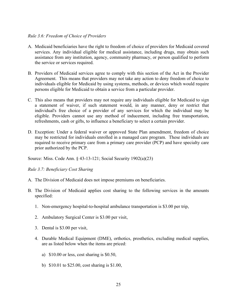#### <span id="page-28-0"></span>*Rule 3.6: Freedom of Choice of Providers*

- A. Medicaid beneficiaries have the right to freedom of choice of providers for Medicaid covered services. Any individual eligible for medical assistance, including drugs, may obtain such assistance from any institution, agency, community pharmacy, or person qualified to perform the service or services required.
- B. Providers of Medicaid services agree to comply with this section of the Act in the Provider Agreement. This means that providers may not take any action to deny freedom of choice to individuals eligible for Medicaid by using systems, methods, or devices which would require persons eligible for Medicaid to obtain a service from a particular provider.
- C. This also means that providers may not require any individuals eligible for Medicaid to sign a statement of waiver, if such statement would, in any manner, deny or restrict that individual's free choice of a provider of any services for which the individual may be eligible. Providers cannot use any method of inducement, including free transportation, refreshments, cash or gifts, to influence a beneficiary to select a certain provider.
- D. Exception: Under a federal waiver or approved State Plan amendment, freedom of choice may be restricted for individuals enrolled in a managed care program. These individuals are required to receive primary care from a primary care provider (PCP) and have specialty care prior authorized by the PCP.

Source: Miss. Code Ann. § 43-13-121; Social Security 1902(a)(23)

<span id="page-28-1"></span>*Rule 3.7: Beneficiary Cost Sharing*

- A. The Division of Medicaid does not impose premiums on beneficiaries.
- B. The Division of Medicaid applies cost sharing to the following services in the amounts specified:
	- 1. Non-emergency hospital-to-hospital ambulance transportation is \$3.00 per trip,
	- 2. Ambulatory Surgical Center is \$3.00 per visit,
	- 3. Dental is \$3.00 per visit,
	- 4. Durable Medical Equipment (DME), orthotics, prosthetics, excluding medical supplies, are as listed below when the items are priced:
		- a) \$10.00 or less, cost sharing is \$0.50,
		- b) \$10.01 to \$25.00, cost sharing is \$1.00,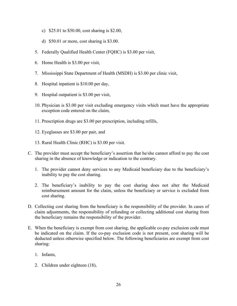- c) \$25.01 to \$50.00, cost sharing is \$2.00,
- d) \$50.01 or more, cost sharing is \$3.00.
- 5. Federally Qualified Health Center (FQHC) is \$3.00 per visit,
- 6. Home Health is \$3.00 per visit,
- 7. Mississippi State Department of Health (MSDH) is \$3.00 per clinic visit,
- 8. Hospital inpatient is \$10.00 per day,
- 9. Hospital outpatient is \$3.00 per visit,
- 10. Physician is \$3.00 per visit excluding emergency visits which must have the appropriate exception code entered on the claim,
- 11. Prescription drugs are \$3.00 per prescription, including refills,
- 12. Eyeglasses are \$3.00 per pair, and
- 13. Rural Health Clinic (RHC) is \$3.00 per visit.
- C. The provider must accept the beneficiary's assertion that he/she cannot afford to pay the cost sharing in the absence of knowledge or indication to the contrary.
	- 1. The provider cannot deny services to any Medicaid beneficiary due to the beneficiary's inability to pay the cost sharing.
	- 2. The beneficiary's inability to pay the cost sharing does not alter the Medicaid reimbursement amount for the claim, unless the beneficiary or service is excluded from cost sharing.
- D. Collecting cost sharing from the beneficiary is the responsibility of the provider. In cases of claim adjustments, the responsibility of refunding or collecting additional cost sharing from the beneficiary remains the responsibility of the provider.
- E. When the beneficiary is exempt from cost sharing, the applicable co-pay exclusion code must be indicated on the claim. If the co-pay exclusion code is not present, cost sharing will be deducted unless otherwise specified below. The following beneficiaries are exempt from cost sharing:
	- 1. Infants,
	- 2. Children under eighteen (18),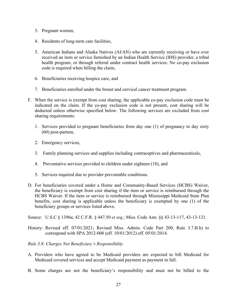- 3. Pregnant women,
- 4. Residents of long-term care facilities,
- 5. American Indians and Alaska Natives (AI/AN) who are currently receiving or have ever received an item or service furnished by an Indian Health Service (IHS) provider, a tribal health program, or through referral under contract health services. No co-pay exclusion code is required when billing the claim,
- 6. Beneficiaries receiving hospice care, and
- 7. Beneficiaries enrolled under the breast and cervical cancer treatment program.
- F. When the service is exempt from cost sharing, the applicable co-pay exclusion code must be indicated on the claim. If the co-pay exclusion code is not present, cost sharing will be deducted unless otherwise specified below. The following services are excluded from cost sharing requirements:
	- 1. Services provided to pregnant beneficiaries from day one (1) of pregnancy to day sixty (60) post-partum,
	- 2. Emergency services,
	- 3. Family planning services and supplies including contraceptives and pharmaceuticals,
	- 4. Preventative services provided to children under eighteen (18), and
	- 5. Services required due to provider preventable conditions.
- D. For beneficiaries covered under a Home and Community-Based Services (HCBS) Waiver, the beneficiary is exempt from cost sharing if the item or service is reimbursed through the HCBS Waiver. If the item or service is reimbursed through Mississippi Medicaid State Plan benefits, cost sharing is applicable unless the beneficiary is exempted by one (1) of the beneficiary groups or services listed above.

Source: U.S.C § 1396a; 42 C.F.R. § 447.50 *et seq.*; Miss. Code Ann. §§ 43-13-117, 43-13-121.

- History: Revised eff. 07/01/2021; Revised Miss. Admin. Code Part 200, Rule 3.7.B.h) to correspond with SPA 2012-008 (eff. 10/01/2012) eff. 05/01/2014.
- <span id="page-30-0"></span>*Rule 3.8: Charges Not Beneficiary's Responsibility*
- A. Providers who have agreed to be Medicaid providers are expected to bill Medicaid for Medicaid covered services and accept Medicaid payment as payment in full.
- B. Some charges are not the beneficiary's responsibility and must not be billed to the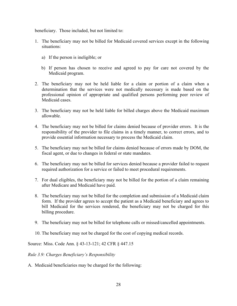beneficiary. Those included, but not limited to:

- 1. The beneficiary may not be billed for Medicaid covered services except in the following situations:
	- a) If the person is ineligible; or
	- b) If person has chosen to receive and agreed to pay for care not covered by the Medicaid program.
- 2. The beneficiary may not be held liable for a claim or portion of a claim when a determination that the services were not medically necessary is made based on the professional opinion of appropriate and qualified persons performing peer review of Medicaid cases.
- 3. The beneficiary may not be held liable for billed charges above the Medicaid maximum allowable.
- 4. The beneficiary may not be billed for claims denied because of provider errors. It is the responsibility of the provider to file claims in a timely manner, to correct errors, and to provide essential information necessary to process the Medicaid claim.
- 5. The beneficiary may not be billed for claims denied because of errors made by DOM, the fiscal agent, or due to changes in federal or state mandates.
- 6. The beneficiary may not be billed for services denied because a provider failed to request required authorization for a service or failed to meet procedural requirements.
- 7. For dual eligibles, the beneficiary may not be billed for the portion of a claim remaining after Medicare and Medicaid have paid.
- 8. The beneficiary may not be billed for the completion and submission of a Medicaid claim form. If the provider agrees to accept the patient as a Medicaid beneficiary and agrees to bill Medicaid for the services rendered, the beneficiary may not be charged for this billing procedure.
- 9. The beneficiary may not be billed for telephone calls or missed/cancelled appointments.
- 10. The beneficiary may not be charged for the cost of copying medical records.

Source: Miss. Code Ann. § 43-13-121; 42 CFR § 447.15

<span id="page-31-0"></span>*Rule 3.9: Charges Beneficiary's Responsibility*

A. Medicaid beneficiaries may be charged for the following: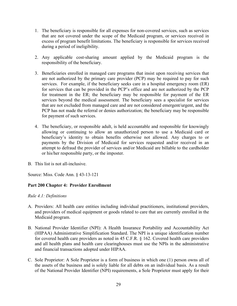- 1. The beneficiary is responsible for all expenses for non-covered services, such as services that are not covered under the scope of the Medicaid program, or services received in excess of program benefit limitations. The beneficiary is responsible for services received during a period of ineligibility.
- 2. Any applicable cost-sharing amount applied by the Medicaid program is the responsibility of the beneficiary.
- 3. Beneficiaries enrolled in managed care programs that insist upon receiving services that are not authorized by the primary care provider (PCP) may be required to pay for such services. For example, if the beneficiary seeks care in a hospital emergency room (ER) for services that can be provided in the PCP's office and are not authorized by the PCP for treatment in the ER; the beneficiary may be responsible for payment of the ER services beyond the medical assessment. The beneficiary sees a specialist for services that are not excluded from managed care and are not considered emergent/urgent, and the PCP has not made the referral or denies authorization; the beneficiary may be responsible for payment of such services.
- 4. The beneficiary, or responsible adult, is held accountable and responsible for knowingly allowing or continuing to allow an unauthorized person to use a Medicaid card or beneficiary's identity to obtain benefits otherwise not allowed. Any charges to or payments by the Division of Medicaid for services requested and/or received in an attempt to defraud the provider of services and/or Medicaid are billable to the cardholder or his/her responsible party, or the imposter.
- B. This list is not all-inclusive.

Source: Miss. Code Ann. § 43-13-121

## <span id="page-32-0"></span>**Part 200 Chapter 4: Provider Enrollment**

#### <span id="page-32-1"></span>*Rule 4.1: Definitions*

- A. Providers: All health care entities including individual practitioners, institutional providers, and providers of medical equipment or goods related to care that are currently enrolled in the Medicaid program.
- B. National Provider Identifier (NPI): A Health Insurance Portability and Accountability Act (HIPAA) Administrative Simplification Standard. The NPI is a unique identification number for covered health care providers as noted in 45 C.F.R. § 162. Covered health care providers and all health plans and health care clearinghouses must use the NPIs in the administrative and financial transactions adopted under HIPAA.
- C. Sole Proprietor: A Sole Proprietor is a form of business in which one (1) person owns all of the assets of the business and is solely liable for all debts on an individual basis. As a result of the National Provider Identifier (NPI) requirements, a Sole Proprietor must apply for their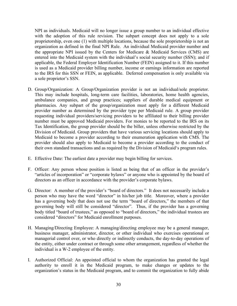NPI as individuals. Medicaid will no longer issue a group number to an individual effective with the adoption of this rule revision. The subpart concept does not apply to a sole proprietorship, even one (1) with multiple locations, because the sole proprietorship is not an organization as defined in the final NPI Rule. An individual Medicaid provider number and the appropriate NPI issued by the Centers for Medicare & Medicaid Services (CMS) are entered into the Medicaid system with the individual's social security number (SSN); and if applicable, the Federal Employer Identification Number (FEIN) assigned to it. If this number is used as a Medicaid provider billing number, income or earnings information are reported to the IRS for this SSN or FEIN, as applicable. Deferred compensation is only available via a sole proprietor's SSN.

- D. Group/Organization: A Group/Organization provider is not an individual/sole proprietor. This may include hospitals, long-term care facilities, laboratories, home health agencies, ambulance companies, and group practices; suppliers of durable medical equipment or pharmacies. Any subpart of the group/organization must apply for a different Medicaid provider number as determined by the provider type per Medicaid rule. A group provider requesting individual providers/servicing providers to be affiliated to their billing provider number must be approved Medicaid providers. For monies to be reported to the IRS on its Tax Identification, the group provider should be the biller, unless otherwise restricted by the Division of Medicaid. Group providers that have various servicing locations should apply to Medicaid to become a provider according to their enumeration application with CMS. The provider should also apply to Medicaid to become a provider according to the conduct of their own standard transactions and as required by the Division of Medicaid's program rules.
- E. Effective Date: The earliest date a provider may begin billing for services.
- F. Officer: Any person whose position is listed as being that of an officer in the provider's "articles of incorporation" or "corporate bylaws" or anyone who is appointed by the board of directors as an officer in accordance with the provider's corporate bylaws.
- G. Director: A member of the provider's "board of directors." It does not necessarily include a person who may have the word "director" in his/her job title. Moreover, where a provider has a governing body that does not use the term "board of directors," the members of that governing body will still be considered "director". Thus, if the provider has a governing body titled "board of trustees," as opposed to "board of directors," the individual trustees are considered "directors" for Medicaid enrollment purposes.
- H. Managing/Directing Employee: A managing/directing employee may be a general manager, business manager, administrator, director, or other individual who exercises operational or managerial control over, or who directly or indirectly conducts, the day-to-day operations of the entity, either under contract or through some other arrangement, regardless of whether the individual is a W-2 employee of the entity.
- I. Authorized Official: An appointed official to whom the organization has granted the legal authority to enroll it in the Medicaid program, to make changes or updates to the organization's status in the Medicaid program, and to commit the organization to fully abide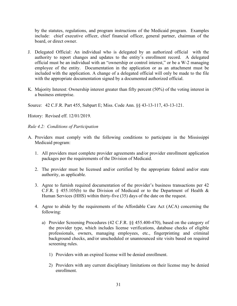by the statutes, regulations, and program instructions of the Medicaid program. Examples include: chief executive officer, chief financial officer, general partner, chairman of the board, or direct owner.

- J. Delegated Official: An individual who is delegated by an authorized official with the authority to report changes and updates to the entity's enrollment record. A delegated official must be an individual with an "ownership or control interest," or be a W-2 managing employee of the entity. Documentation in the application or as an attachment must be included with the application. A change of a delegated official will only be made to the file with the appropriate documentation signed by a documented authorized official.
- K. Majority Interest: Ownership interest greater than fifty percent (50%) of the voting interest in a business enterprise.

Source: 42 C.F.R. Part 455, Subpart E; Miss. Code Ann. §§ 43-13-117, 43-13-121.

History: Revised eff. 12/01/2019.

<span id="page-34-0"></span>*Rule 4.2: Conditions of Participation*

- A. Providers must comply with the following conditions to participate in the Mississippi Medicaid program:
	- 1. All providers must complete provider agreements and/or provider enrollment application packages per the requirements of the Division of Medicaid.
	- 2. The provider must be licensed and/or certified by the appropriate federal and/or state authority, as applicable.
	- 3. Agree to furnish required documentation of the provider's business transactions per 42 C.F.R. § 455.105(b) to the Division of Medicaid or to the Department of Health & Human Services (HHS) within thirty-five (35) days of the date on the request.
	- 4. Agree to abide by the requirements of the Affordable Care Act (ACA) concerning the following:
		- a) Provider Screening Procedures (42 C.F.R. §§ 455.400-470), based on the category of the provider type, which includes license verifications, database checks of eligible professionals, owners, managing employees, etc., fingerprinting and criminal background checks, and/or unscheduled or unannounced site visits based on required screening rules.
			- 1) Providers with an expired license will be denied enrollment.
			- 2) Providers with any current disciplinary limitations on their license may be denied enrollment.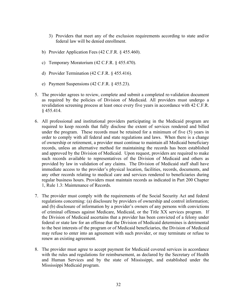- 3) Providers that meet any of the exclusion requirements according to state and/or federal law will be denied enrollment.
- b) Provider Application Fees (42 C.F.R. § 455.460).
- c) Temporary Moratorium (42 C.F.R. § 455.470).
- d) Provider Termination (42 C.F.R. § 455.416).
- e) Payment Suspensions (42 C.F.R. § 455.23).
- 5. The provider agrees to review, complete and submit a completed re-validation document as required by the policies of Division of Medicaid. All providers must undergo a revalidation screening process at least once every five years in accordance with 42 C.F.R. § 455.414.
- 6. All professional and institutional providers participating in the Medicaid program are required to keep records that fully disclose the extent of services rendered and billed under the program. These records must be retained for a minimum of five (5) years in order to comply with all federal and state regulations and laws. When there is a change of ownership or retirement, a provider must continue to maintain all Medicaid beneficiary records, unless an alternative method for maintaining the records has been established and approved by the Division of Medicaid. Upon request, providers are required to make such records available to representatives of the Division of Medicaid and others as provided by law in validation of any claims. The Division of Medicaid staff shall have immediate access to the provider's physical location, facilities, records, documents, and any other records relating to medical care and services rendered to beneficiaries during regular business hours. Providers must maintain records as indicated in Part 200 Chapter 1, Rule 1.3: Maintenance of Records.
- 7. The provider must comply with the requirements of the Social Security Act and federal regulations concerning: (a) disclosure by providers of ownership and control information; and (b) disclosure of information by a provider's owners of any persons with convictions of criminal offenses against Medicare, Medicaid, or the Title XX services program. If the Division of Medicaid ascertains that a provider has been convicted of a felony under federal or state law for an offense that the Division of Medicaid determines is detrimental to the best interests of the program or of Medicaid beneficiaries, the Division of Medicaid may refuse to enter into an agreement with such provider, or may terminate or refuse to renew an existing agreement.
- 8. The provider must agree to accept payment for Medicaid covered services in accordance with the rules and regulations for reimbursement, as declared by the Secretary of Health and Human Services and by the state of Mississippi, and established under the Mississippi Medicaid program.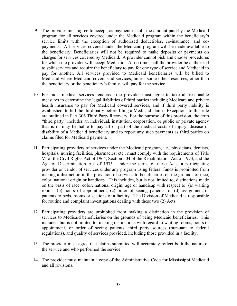- 9. The provider must agree to accept, as payment in full, the amount paid by the Medicaid program for all services covered under the Medicaid program within the beneficiary's service limits with the exception of authorized deductibles, co-insurance, and copayments. All services covered under the Medicaid program will be made available to the beneficiary. Beneficiaries will not be required to make deposits or payments on charges for services covered by Medicaid. A provider cannot pick and choose procedures for which the provider will accept Medicaid. At no time shall the provider be authorized to split services and require the beneficiary to pay for one type of service and Medicaid to pay for another. All services provided to Medicaid beneficiaries will be billed to Medicaid where Medicaid covers said services, unless some other resources, other than the beneficiary or the beneficiary's family, will pay for the service.
- 10. For most medical services rendered, the provider must agree to take all reasonable measures to determine the legal liabilities of third parties including Medicare and private health insurance to pay for Medicaid covered services, and if third party liability is established, to bill the third party before filing a Medicaid claim. Exceptions to this rule are outlined in Part 306 Third Party Recovery. For the purpose of this provision, the term "third party" includes an individual, institution, corporation, or public or private agency that is or may be liable to pay all or part of the medical costs of injury, disease or disability of a Medicaid beneficiary and to report any such payments as third parties on claims filed for Medicaid payment.
- 11. Participating providers of services under the Medicaid program, i.e., physicians, dentists, hospitals, nursing facilities, pharmacies, etc., must comply with the requirements of Title VI of the Civil Rights Act of 1964, Section 504 of the Rehabilitation Act of 1973, and the Age of Discrimination Act of 1975. Under the terms of these Acts, a participating provider or vendor of services under any program using federal funds is prohibited from making a distinction in the provision of services to beneficiaries on the grounds of race, color, national origin or handicap. This includes, but is not limited to, distinctions made on the basis of race, color, national origin, age or handicap with respect to: (a) waiting rooms, (b) hours of appointment, (c) order of seeing patients, or (d) assignment of patients to beds, rooms or sections of a facility. The Division of Medicaid is responsible for routine and complaint investigations dealing with these two (2) Acts.
- 12. Participating providers are prohibited from making a distinction in the provision of services to Medicaid beneficiaries on the grounds of being Medicaid beneficiaries. This includes, but is not limited to, making distinctions with regard to waiting rooms, hours of appointment, or order of seeing patients, third party sources (pursuant to federal regulations), and quality of services provided, including those provided in a facility.
- 13. The provider must agree that claims submitted will accurately reflect both the nature of the service and who performed the service.
- 14. The provider must maintain a copy of the Administrative Code for Mississippi Medicaid and all revisions.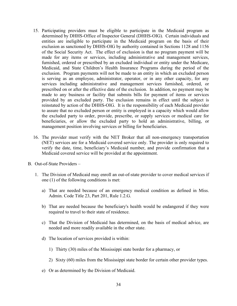- 15. Participating providers must be eligible to participate in the Medicaid program as determined by DHHS-Office of Inspector General (DHHS-OIG). Certain individuals and entities are ineligible to participate in the Medicaid program on the basis of their exclusion as sanctioned by DHHS-OIG by authority contained in Sections 1128 and 1156 of the Social Security Act. The effect of exclusion is that no program payment will be made for any items or services, including administrative and management services, furnished, ordered or prescribed by an excluded individual or entity under the Medicare, Medicaid, and State Children's Health Insurance Programs during the period of the exclusion. Program payments will not be made to an entity in which an excluded person is serving as an employee, administrator, operator, or in any other capacity, for any services including administrative and management services furnished, ordered, or prescribed on or after the effective date of the exclusion. In addition, no payment may be made to any business or facility that submits bills for payment of items or services provided by an excluded party. The exclusion remains in effect until the subject is reinstated by action of the DHHS-OIG. It is the responsibility of each Medicaid provider to assure that no excluded person or entity is employed in a capacity which would allow the excluded party to order, provide, prescribe, or supply services or medical care for beneficiaries, or allow the excluded party to hold an administrative, billing, or management position involving services or billing for beneficiaries.
- 16. The provider must verify with the NET Broker that all non-emergency transportation (NET) services are for a Medicaid covered service only. The provider is only required to verify the date, time, beneficiary's Medicaid number, and provide confirmation that a Medicaid covered service will be provided at the appointment.
- B. Out-of-State Providers
	- 1. The Division of Medicaid may enroll an out-of-state provider to cover medical services if one (1) of the following conditions is met:
		- a) That are needed because of an emergency medical condition as defined in Miss. Admin. Code Title 23, Part 201, Rule 1.2.G.
		- b) That are needed because the beneficiary's health would be endangered if they were required to travel to their state of residence.
		- c) That the Division of Medicaid has determined, on the basis of medical advice, are needed and more readily available in the other state.
		- d) The location of services provided is within:
			- 1) Thirty (30) miles of the Mississippi state border for a pharmacy, or
			- 2) Sixty (60) miles from the Mississippi state border for certain other provider types.
		- e) Or as determined by the Division of Medicaid.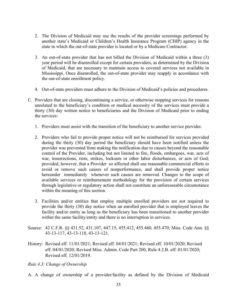- 2. The Division of Medicaid may use the results of the provider screenings performed by another state's Medicaid or Children's Health Insurance Program (CHIP) agency in the state in which the out-of-state provider is located or by a Medicare Contractor.
- 3. An out-of-state provider that has not billed the Division of Medicaid within a three (3) year period will be disenrolled except for certain providers, as determined by the Division of Medicaid, that are necessary to maintain access to covered services not available in Mississippi. Once disenrolled, the out-of-state provider may reapply in accordance with the out-of-state enrollment policy.
- 4. Out-of-state providers must adhere to the Division of Medicaid's policies and procedures.
- C. Providers that are closing, discontinuing a service, or otherwise stopping services for reasons unrelated to the beneficiary's condition or medical necessity of the services must provide a thirty (30) day written notice to beneficiaries and the Division of Medicaid prior to ending the services:
	- 1. Providers must assist with the transition of the beneficiary to another service provider.
	- 2. Providers who fail to provide proper notice will not be reimbursed for services provided during the thirty (30) day period the beneficiary should have been notified unless the provider was prevented from making the notification due to causes beyond the reasonable control of the Provider, including but not limited to fire, floods, embargoes, war, acts of war, insurrections, riots, strikes, lockouts or other labor disturbances, or acts of God; provided, however, that a Provider so affected shall use reasonable commercial efforts to avoid or remove such causes of nonperformance, and shall provide proper notice hereunder immediately whenever such causes are removed. Changes to the scope of available services or reimbursement methodology for the provision of certain services through legislative or regulatory action shall not constitute an unforeseeable circumstance within the meaning of this section.
	- 3. Facilities and/or entities that employ multiple enrolled providers are not required to provide the thirty (30) day notice when an enrolled provider that is employed leaves the facility and/or entity as long as the beneficiary has been transitioned to another provider within the same facility/entity and there is no interruption in services.
- Source: 42 C.F.R. §§ 431.52, 431.107, 447.15, 455.412, 455.460, 455.470; Miss. Code Ann. §§ 43-13-117, 43-13-118, 43-13-121.
- History: Revised eff. 11/01/2021; Revised eff. 04/01/2021; Revised eff. 10/01/2020; Revised eff. 04/01/2020; Revised Miss. Admin. Code Part 200, Rule 4.2.B. eff. 01/01/2020; Revised eff. 12/01/2019.
- <span id="page-38-0"></span>*Rule 4.3: Change of Ownership*
- A. A change of ownership of a provider/facility as defined by the Division of Medicaid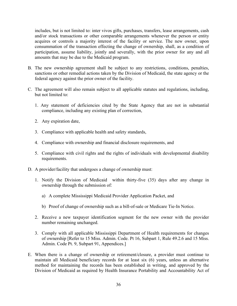includes, but is not limited to: inter vivos gifts, purchases, transfers, lease arrangements, cash and/or stock transactions or other comparable arrangements whenever the person or entity acquires or controls a majority interest of the facility or service. The new owner, upon consummation of the transaction effecting the change of ownership, shall, as a condition of participation, assume liability, jointly and severally, with the prior owner for any and all amounts that may be due to the Medicaid program.

- B. The new ownership agreement shall be subject to any restrictions, conditions, penalties, sanctions or other remedial actions taken by the Division of Medicaid, the state agency or the federal agency against the prior owner of the facility.
- C. The agreement will also remain subject to all applicable statutes and regulations, including, but not limited to:
	- 1. Any statement of deficiencies cited by the State Agency that are not in substantial compliance, including any existing plan of correction,
	- 2. Any expiration date,
	- 3. Compliance with applicable health and safety standards,
	- 4. Compliance with ownership and financial disclosure requirements, and
	- 5. Compliance with civil rights and the rights of individuals with developmental disability requirements.
- D. A provider/facility that undergoes a change of ownership must:
	- 1. Notify the Division of Medicaid within thirty-five (35) days after any change in ownership through the submission of:
		- a) A complete Mississippi Medicaid Provider Application Packet, and
		- b) Proof of change of ownership such as a bill-of-sale or Medicare Tie-In Notice.
	- 2. Receive a new taxpayer identification segment for the new owner with the provider number remaining unchanged.
	- 3. Comply with all applicable Mississippi Department of Health requirements for changes of ownership [Refer to 15 Miss. Admin. Code. Pt 16, Subpart 1, Rule 49.2.6 and 15 Miss. Admin. Code Pt. 9, Subpart 91, Appendices.]
- E. When there is a change of ownership or retirement/closure, a provider must continue to maintain all Medicaid beneficiary records for at least six (6) years, unless an alternative method for maintaining the records has been established in writing, and approved by the Division of Medicaid as required by Health Insurance Portability and Accountability Act of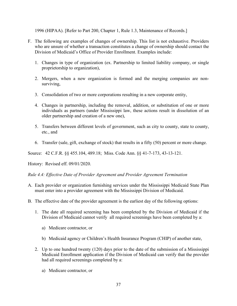1996 (HIPAA). [Refer to Part 200, Chapter 1, Rule 1.3, Maintenance of Records.]

- F. The following are examples of changes of ownership. This list is not exhaustive. Providers who are unsure of whether a transaction constitutes a change of ownership should contact the Division of Medicaid's Office of Provider Enrollment. Examples include:
	- 1. Changes in type of organization (ex. Partnership to limited liability company, or single proprietorship to organization),
	- 2. Mergers, when a new organization is formed and the merging companies are nonsurviving,
	- 3. Consolidation of two or more corporations resulting in a new corporate entity,
	- 4. Changes in partnership, including the removal, addition, or substitution of one or more individuals as partners (under Mississippi law, these actions result in dissolution of an older partnership and creation of a new one),
	- 5. Transfers between different levels of government, such as city to county, state to county, etc., and
	- 6. Transfer (sale, gift, exchange of stock) that results in a fifty (50) percent or more change.

Source: 42 C.F.R. §§ 455.104, 489.18; Miss. Code Ann. §§ 41-7-173, 43-13-121.

History: Revised eff. 09/01/2020.

<span id="page-40-0"></span>*Rule 4.4: Effective Date of Provider Agreement and Provider Agreement Termination*

- A. Each provider or organization furnishing services under the Mississippi Medicaid State Plan must enter into a provider agreement with the Mississippi Division of Medicaid.
- B. The effective date of the provider agreement is the earliest day of the following options:
	- 1. The date all required screening has been completed by the Division of Medicaid if the Division of Medicaid cannot verify all required screenings have been completed by a:
		- a) Medicare contractor, or
		- b) Medicaid agency or Children's Health Insurance Program (CHIP) of another state,
	- 2. Up to one hundred twenty (120) days prior to the date of the submission of a Mississippi Medicaid Enrollment application if the Division of Medicaid can verify that the provider had all required screenings completed by a:
		- a) Medicare contractor, or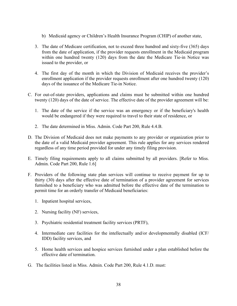- b) Medicaid agency or Children's Health Insurance Program (CHIP) of another state,
- 3. The date of Medicare certification, not to exceed three hundred and sixty-five (365) days from the date of application, if the provider requests enrollment in the Medicaid program within one hundred twenty (120) days from the date the Medicare Tie-in Notice was issued to the provider, or
- 4. The first day of the month in which the Division of Medicaid receives the provider's enrollment application if the provider requests enrollment after one hundred twenty (120) days of the issuance of the Medicare Tie-in Notice.
- C. For out-of-state providers, applications and claims must be submitted within one hundred twenty (120) days of the date of service. The effective date of the provider agreement will be:
	- 1. The date of the service if the service was an emergency or if the beneficiary's health would be endangered if they were required to travel to their state of residence, or
	- 2. The date determined in Miss. Admin. Code Part 200, Rule 4.4.B.
- D. The Division of Medicaid does not make payments to any provider or organization prior to the date of a valid Medicaid provider agreement. This rule applies for any services rendered regardless of any time period provided for under any timely filing provision.
- E. Timely filing requirements apply to all claims submitted by all providers. [Refer to Miss. Admin. Code Part 200, Rule 1.6]
- F. Providers of the following state plan services will continue to receive payment for up to thirty (30) days after the effective date of termination of a provider agreement for services furnished to a beneficiary who was admitted before the effective date of the termination to permit time for an orderly transfer of Medicaid beneficiaries:
	- 1. Inpatient hospital services,
	- 2. Nursing facility (NF) services,
	- 3. Psychiatric residential treatment facility services (PRTF),
	- 4. Intermediate care facilities for the intellectually and/or developmentally disabled (ICF/ IDD) facility services, and
	- 5. Home health services and hospice services furnished under a plan established before the effective date of termination.
- G. The facilities listed in Miss. Admin. Code Part 200, Rule 4.1.D. must: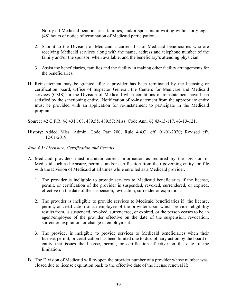- 1. Notify all Medicaid beneficiaries, families, and/or sponsors in writing within forty-eight (48) hours of notice of termination of Medicaid participation,
- 2. Submit to the Division of Medicaid a current list of Medicaid beneficiaries who are receiving Medicaid services along with the name, address and telephone number of the family and/or the sponsor, when available, and the beneficiary's attending physician.
- 3. Assist the beneficiaries, families and the facility in making other facility arrangements for the beneficiaries.
- H. Reinstatement may be granted after a provider has been terminated by the licensing or certification board, Office of Inspector General, the Centers for Medicare and Medicaid services (CMS), or the Division of Medicaid when conditions of reinstatement have been satisfied by the sanctioning entity. Notification of re-instatement from the appropriate entity must be provided with an application for re-instatement to participate in the Medicaid program.

Source: 42 C.F.R. §§ 431.108, 489.55, 489.57; Miss. Code Ann. §§ 43-13-117, 43-13-121.

- History: Added Miss. Admin. Code Part 200, Rule 4.4.C. eff. 01/01/2020; Revised eff. 12/01/2019.
- <span id="page-42-0"></span>*Rule 4.5: Licensure, Certification and Permits*
- A. Medicaid providers must maintain current information as required by the Division of Medicaid such as licensure, permits, and/or certification from their governing entity on file with the Division of Medicaid at all times while enrolled as a Medicaid provider.
	- 1. The provider is ineligible to provide services to Medicaid beneficiaries if the license, permit, or certification of the provider is suspended, revoked, surrendered, or expired, effective on the date of the suspension, revocation, surrender or expiration.
	- 2. The provider is ineligible to provide services to Medicaid beneficiaries if the license, permit, or certification of an employee of the provider upon which provider eligibility results from, is suspended, revoked, surrendered, or expired, or the person ceases to be an agent/employee of the provider effective on the date of the suspension, revocation, surrender, expiration, or change in employment.
	- 3. The provider is ineligible to provide services to Medicaid beneficiaries when their license, permit, or certification has been limited due to disciplinary action by the board or entity that issues the license, permit, or certification effective on the date of the limitation.
- B. The Division of Medicaid will re-open the provider number of a provider whose number was closed due to license expiration back to the effective date of the license renewal if: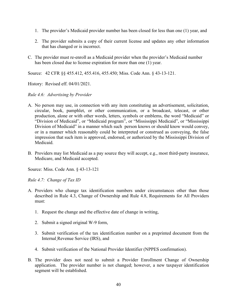- 1. The provider's Medicaid provider number has been closed for less than one (1) year, and
- 2. The provider submits a copy of their current license and updates any other information that has changed or is incorrect.
- C. The provider must re-enroll as a Medicaid provider when the provider's Medicaid number has been closed due to license expiration for more than one (1) year.

Source: 42 CFR §§ 455.412, 455.416, 455.450; Miss. Code Ann. § 43-13-121.

History: Revised eff. 04/01/2021.

## <span id="page-43-0"></span>*Rule 4.6: Advertising by Provider*

- A. No person may use, in connection with any item constituting an advertisement, solicitation, circular, book, pamphlet, or other communication, or a broadcast, telecast, or other production, alone or with other words, letters, symbols or emblems, the word "Medicaid" or "Division of Medicaid", or "Medicaid program", or "Mississippi Medicaid", or "Mississippi Division of Medicaid" in a manner which such person knows or should know would convey, or in a manner which reasonably could be interpreted or construed as conveying, the false impression that such item is approved, endorsed, or authorized by the Mississippi Division of Medicaid.
- B. Providers may list Medicaid as a pay source they will accept, e.g., most third-party insurance, Medicare, and Medicaid accepted.

Source: Miss. Code Ann. § 43-13-121

<span id="page-43-1"></span>*Rule 4.7: Change of Tax ID* 

- A. Providers who change tax identification numbers under circumstances other than those described in Rule 4.3, Change of Ownership and Rule 4.8, Requirements for All Providers must:
	- 1. Request the change and the effective date of change in writing,
	- 2. Submit a signed original W-9 form,
	- 3. Submit verification of the tax identification number on a preprinted document from the Internal Revenue Service (IRS), and
	- 4. Submit verification of the National Provider Identifier (NPPES confirmation).
- B. The provider does not need to submit a Provider Enrollment Change of Ownership application. The provider number is not changed; however, a new taxpayer identification segment will be established.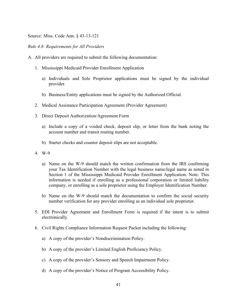Source: Miss. Code Ann. § 43-13-121

#### <span id="page-44-0"></span>*Rule 4.8: Requirements for All Providers*

- A. All providers are required to submit the following documentation:
	- 1. Mississippi Medicaid Provider Enrollment Application
		- a) Individuals and Sole Proprietor applications must be signed by the individual provider.
		- b) Business/Entity applications must be signed by the Authorized Official.
	- 2. Medical Assistance Participation Agreement (Provider Agreement)
	- 3. Direct Deposit Authorization/Agreement Form
		- a) Include a copy of a voided check, deposit slip, or letter from the bank noting the account number and transit routing number.
		- b) Starter checks and counter deposit slips are not acceptable.
	- 4. W-9
		- a) Name on the W-9 should match the written confirmation from the IRS confirming your Tax Identification Number with the legal business name/legal name as noted in Section 1 of the Mississippi Medicaid Provider Enrollment Application. Note: This information is needed if enrolling as a professional corporation or limited liability company, or enrolling as a sole proprietor using the Employer Identification Number.
		- b) Name on the W-9 should match the documentation to confirm the social security number verification for any provider enrolling as an individual sole proprietor.
	- 5. EDI Provider Agreement and Enrollment Form is required if the intent is to submit electronically.
	- 6. Civil Rights Compliance Information Request Packet including the following:
		- a) A copy of the provider's Nondiscrimination Policy.
		- b) A copy of the provider's Limited English Proficiency Policy.
		- c) A copy of the provider's Sensory and Speech Impairment Policy.
		- d) A copy of the provider's Notice of Program Accessibility Policy.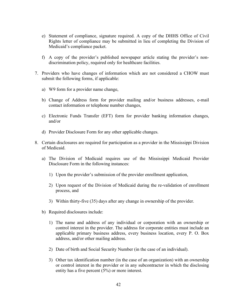- e) Statement of compliance, signature required. A copy of the DHHS Office of Civil Rights letter of compliance may be submitted in lieu of completing the Division of Medicaid's compliance packet.
- f) A copy of the provider's published newspaper article stating the provider's nondiscrimination policy, required only for healthcare facilities.
- 7. Providers who have changes of information which are not considered a CHOW must submit the following forms, if applicable:
	- a) W9 form for a provider name change,
	- b) Change of Address form for provider mailing and/or business addresses, e-mail contact information or telephone number changes,
	- c) Electronic Funds Transfer (EFT) form for provider banking information changes, and/or
	- d) Provider Disclosure Form for any other applicable changes.
- 8. Certain disclosures are required for participation as a provider in the Mississippi Division of Medicaid.
	- a) The Division of Medicaid requires use of the Mississippi Medicaid Provider Disclosure Form in the following instances:
		- 1) Upon the provider's submission of the provider enrollment application,
		- 2) Upon request of the Division of Medicaid during the re-validation of enrollment process, and
		- 3) Within thirty-five (35) days after any change in ownership of the provider.
	- b) Required disclosures include:
		- 1) The name and address of any individual or corporation with an ownership or control interest in the provider. The address for corporate entities must include an applicable primary business address, every business location, every P. O. Box address, and/or other mailing address.
		- 2) Date of birth and Social Security Number (in the case of an individual).
		- 3) Other tax identification number (in the case of an organization) with an ownership or control interest in the provider or in any subcontractor in which the disclosing entity has a five percent (5%) or more interest.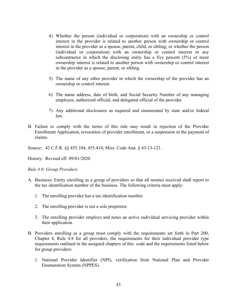- 4) Whether the person (individual or corporation) with an ownership or control interest in the provider is related to another person with ownership or control interest in the provider as a spouse, parent, child, or sibling; or whether the person (individual or corporation) with an ownership or control interest in any subcontractor in which the disclosing entity has a five percent (5%) or more ownership interest is related to another person with ownership or control interest in the provider as a spouse, parent, or sibling.
- 5) The name of any other provider in which the ownership of the provider has an ownership or control interest.
- 6) The name address, date of birth, and Social Security Number of any managing employee, authorized official, and delegated official of the provider.
- 7) Any additional disclosures as required and enumerated by state and/or federal law.
- B. Failure to comply with the terms of this rule may result in rejection of the Provider Enrollment Application, revocation of provider enrollment, or a suspension in the payment of claims.

Source: 42 C.F.R. §§ 455.104, 455.414; Miss. Code Ann. § 43-13-121.

History: Revised eff. 09/01/2020.

<span id="page-46-0"></span>*Rule 4.9: Group Providers*

- A. Business/ Entity enrolling as a group of providers so that all monies received shall report to the tax identification number of the business. The following criteria must apply:
	- 1. The enrolling provider has a tax identification number.
	- 2. The enrolling provider is not a sole proprietor.
	- 3. The enrolling provider employs and notes an active individual servicing provider within their application.
- B. Providers enrolling as a group must comply with the requirements set forth in Part 200, Chapter 4, Rule 4.8 for all providers, the requirements for their individual provider type requirements outlined in the assigned chapters of this code and the requirements listed below for group providers:
	- 1. National Provider Identifier (NPI), verification from National Plan and Provider Enumeration System (NPPES).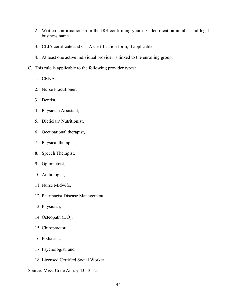- 2. Written confirmation from the IRS confirming your tax identification number and legal business name.
- 3. CLIA certificate and CLIA Certification form, if applicable.
- 4. At least one active individual provider is linked to the enrolling group.
- C. This rule is applicable to the following provider types:
	- 1. CRNA,
	- 2. Nurse Practitioner,
	- 3. Dentist,
	- 4. Physician Assistant,
	- 5. Dietician/ Nutritionist,
	- 6. Occupational therapist,
	- 7. Physical therapist,
	- 8. Speech Therapist,
	- 9. Optometrist,
	- 10. Audiologist,
	- 11. Nurse Midwife,
	- 12. Pharmacist Disease Management,
	- 13. Physician,
	- 14. Osteopath (DO),
	- 15. Chiropractor,
	- 16. Podiatrist,
	- 17. Psychologist, and
	- 18. Licensed Certified Social Worker.
- Source: Miss. Code Ann. § 43-13-121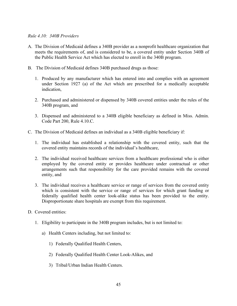#### <span id="page-48-0"></span>*Rule 4.10: 340B Providers*

- A. The Division of Medicaid defines a 340B provider as a nonprofit healthcare organization that meets the requirements of, and is considered to be, a covered entity under Section 340B of the Public Health Service Act which has elected to enroll in the 340B program.
- B. The Division of Medicaid defines 340B purchased drugs as those:
	- 1. Produced by any manufacturer which has entered into and complies with an agreement under Section 1927 (a) of the Act which are prescribed for a medically acceptable indication,
	- 2. Purchased and administered or dispensed by 340B covered entities under the rules of the 340B program, and
	- 3. Dispensed and administered to a 340B eligible beneficiary as defined in Miss. Admin. Code Part 200, Rule 4.10.C.
- C. The Division of Medicaid defines an individual as a 340B eligible beneficiary if:
	- 1. The individual has established a relationship with the covered entity, such that the covered entity maintains records of the individual's healthcare,
	- 2. The individual received healthcare services from a healthcare professional who is either employed by the covered entity or provides healthcare under contractual or other arrangements such that responsibility for the care provided remains with the covered entity, and
	- 3. The individual receives a healthcare service or range of services from the covered entity which is consistent with the service or range of services for which grant funding or federally qualified health center look-alike status has been provided to the entity. Disproportionate share hospitals are exempt from this requirement.
- D. Covered entities:
	- 1. Eligibility to participate in the 340B program includes, but is not limited to:
		- a) Health Centers including, but not limited to:
			- 1) Federally Qualified Health Centers,
			- 2) Federally Qualified Health Center Look-Alikes, and
			- 3) Tribal/Urban Indian Health Centers.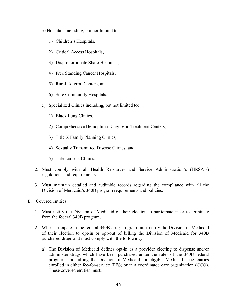b) Hospitals including, but not limited to:

- 1) Children's Hospitals,
- 2) Critical Access Hospitals,
- 3) Disproportionate Share Hospitals,
- 4) Free Standing Cancer Hospitals,
- 5) Rural Referral Centers, and
- 6) Sole Community Hospitals.
- c) Specialized Clinics including, but not limited to:
	- 1) Black Lung Clinics,
	- 2) Comprehensive Hemophilia Diagnostic Treatment Centers,
	- 3) Title X Family Planning Clinics,
	- 4) Sexually Transmitted Disease Clinics, and
	- 5) Tuberculosis Clinics.
- 2. Must comply with all Health Resources and Service Administration's (HRSA's) regulations and requirements.
- 3. Must maintain detailed and auditable records regarding the compliance with all the Division of Medicaid's 340B program requirements and policies.
- E. Covered entities:
	- 1. Must notify the Division of Medicaid of their election to participate in or to terminate from the federal 340B program.
	- 2. Who participate in the federal 340B drug program must notify the Division of Medicaid of their election to opt-in or opt-out of billing the Division of Medicaid for 340B purchased drugs and must comply with the following.
		- a) The Division of Medicaid defines opt-in as a provider electing to dispense and/or administer drugs which have been purchased under the rules of the 340B federal program, and billing the Division of Medicaid for eligible Medicaid beneficiaries enrolled in either fee-for-service (FFS) or in a coordinated care organization (CCO). These covered entities must: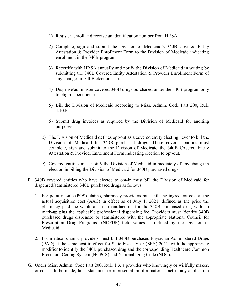- 1) Register, enroll and receive an identification number from HRSA.
- 2) Complete, sign and submit the Division of Medicaid's 340B Covered Entity Attestation & Provider Enrollment Form to the Division of Medicaid indicating enrollment in the 340B program.
- 3) Recertify with HRSA annually and notify the Division of Medicaid in writing by submitting the 340B Covered Entity Attestation & Provider Enrollment Form of any changes in 340B election status.
- 4) Dispense/administer covered 340B drugs purchased under the 340B program only to eligible beneficiaries.
- 5) Bill the Division of Medicaid according to Miss. Admin. Code Part 200, Rule 4.10.F.
- 6) Submit drug invoices as required by the Division of Medicaid for auditing purposes.
- b) The Division of Medicaid defines opt-out as a covered entity electing never to bill the Division of Medicaid for 340B purchased drugs. These covered entities must complete, sign and submit to the Division of Medicaid the 340B Covered Entity Attestation & Provider Enrollment Form indicating election to opt-out.
- c) Covered entities must notify the Division of Medicaid immediately of any change in election in billing the Division of Medicaid for 340B purchased drugs.
- F. 340B covered entities who have elected to opt-in must bill the Division of Medicaid for dispensed/administered 340B purchased drugs as follows:
	- 1. For point-of-sale (POS) claims, pharmacy providers must bill the ingredient cost at the actual acquisition cost (AAC) in effect as of July 1, 2021, defined as the price the pharmacy paid the wholesaler or manufacturer for the 340B purchased drug with no mark-up plus the applicable professional dispensing fee. Providers must identify 340B purchased drugs dispensed or administered with the appropriate National Council for Prescription Drug Programs' (NCPDP) field values as defined by the Division of Medicaid.
	- 2. For medical claims, providers must bill 340B purchased Physician Administered Drugs (PAD) at the same cost in effect for State Fiscal Year (SFY) 2021, with the appropriate modifier to identify the 340B purchased drug and the corresponding Healthcare Common Procedure Coding System (HCPCS) and National Drug Code (NDC).
- G. Under Miss. Admin. Code Part 200, Rule 1.3, a provider who knowingly or willfully makes, or causes to be made, false statement or representation of a material fact in any application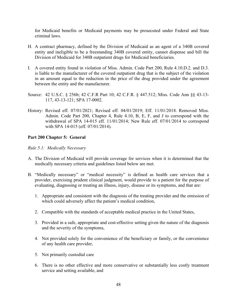for Medicaid benefits or Medicaid payments may be prosecuted under Federal and State criminal laws.

- H. A contract pharmacy, defined by the Division of Medicaid as an agent of a 340B covered entity and ineligible to be a freestanding 340B covered entity, cannot dispense and bill the Division of Medicaid for 340B outpatient drugs for Medicaid beneficiaries.
- I. A covered entity found in violation of Miss. Admin. Code Part 200, Rule 4.10.D.2. and D.3. is liable to the manufacturer of the covered outpatient drug that is the subject of the violation in an amount equal to the reduction in the price of the drug provided under the agreement between the entity and the manufacturer.
- Source: 42 U.S.C. § 256b; 42 C.F.R Part 10; 42 C.F.R. § 447.512; Miss. Code Ann §§ 43-13- 117, 43-13-121; SPA 17-0002.
- History: Revised eff. 07/01/2021; Revised eff. 04/01/2019; Eff. 11/01/2018. Removed Miss. Admin. Code Part 200, Chapter 4, Rule 4.10, B, E, F, and J to correspond with the withdrawal of SPA 14-015 eff. 11/01/2014; New Rule eff. 07/01/2014 to correspond with SPA 14-015 (eff. 07/01/2014).

## <span id="page-51-0"></span>**Part 200 Chapter 5: General**

## <span id="page-51-1"></span>*Rule 5.1: Medically Necessary*

- A. The Division of Medicaid will provide coverage for services when it is determined that the medically necessary criteria and guidelines listed below are met.
- B. "Medically necessary" or "medical necessity" is defined as health care services that a provider, exercising prudent clinical judgment, would provide to a patient for the purpose of evaluating, diagnosing or treating an illness, injury, disease or its symptoms, and that are:
	- 1. Appropriate and consistent with the diagnosis of the treating provider and the omission of which could adversely affect the patient's medical condition,
	- 2. Compatible with the standards of acceptable medical practice in the United States,
	- 3. Provided in a safe, appropriate and cost-effective setting given the nature of the diagnosis and the severity of the symptoms,
	- 4. Not provided solely for the convenience of the beneficiary or family, or the convenience of any health care provider,
	- 5. Not primarily custodial care
	- 6. There is no other effective and more conservative or substantially less costly treatment service and setting available, and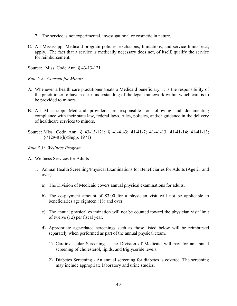- 7. The service is not experimental, investigational or cosmetic in nature.
- C. All Mississippi Medicaid program policies, exclusions, limitations, and service limits, etc., apply. The fact that a service is medically necessary does not, of itself, qualify the service for reimbursement.

Source: Miss. Code Ann. § 43-13-121

<span id="page-52-0"></span>*Rule 5.2: Consent for Minors*

- A. Whenever a health care practitioner treats a Medicaid beneficiary, it is the responsibility of the practitioner to have a clear understanding of the legal framework within which care is to be provided to minors.
- B. All Mississippi Medicaid providers are responsible for following and documenting compliance with their state law, federal laws, rules, policies, and/or guidance in the delivery of healthcare services to minors.
- Source: Miss. Code Ann. § 43-13-121; § 41-41-3; 41-41-7; 41-41-13, 41-41-14; 41-41-13; §7129-81(h)(Supp. 1971)

<span id="page-52-1"></span>*Rule 5.3: Wellness Program*

- A. Wellness Services for Adults
	- 1. Annual Health Screening/Physical Examinations for Beneficiaries for Adults (Age 21 and over)
		- a) The Division of Medicaid covers annual physical examinations for adults.
		- b) The co-payment amount of \$3.00 for a physician visit will not be applicable to beneficiaries age eighteen (18) and over.
		- c) The annual physical examination will not be counted toward the physician visit limit of twelve (12) per fiscal year.
		- d) Appropriate age-related screenings such as those listed below will be reimbursed separately when performed as part of the annual physical exam.
			- 1) Cardiovascular Screening The Division of Medicaid will pay for an annual screening of cholesterol, lipids, and triglyceride levels.
			- 2) Diabetes Screening An annual screening for diabetes is covered. The screening may include appropriate laboratory and urine studies.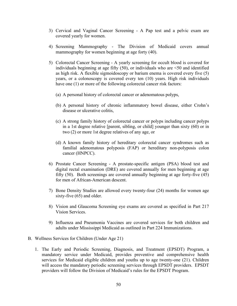- 3) Cervical and Vaginal Cancer Screening A Pap test and a pelvic exam are covered yearly for women.
- 4) Screening Mammography The Division of Medicaid covers annual mammography for women beginning at age forty (40).
- 5) Colorectal Cancer Screening A yearly screening for occult blood is covered for individuals beginning at age fifty  $(50)$ , or individuals who are  $\leq 50$  and identified as high risk. A flexible sigmoidoscopy or barium enema is covered every five (5) years, or a colonoscopy is covered every ten (10) years. High risk individuals have one (1) or more of the following colorectal cancer risk factors:
	- (a) A personal history of colorectal cancer or adenomatous polyps,
	- (b) A personal history of chronic inflammatory bowel disease, either Crohn's disease or ulcerative colitis,
	- (c) A strong family history of colorectal cancer or polyps including cancer polyps in a 1st degree relative [parent, sibling, or child] younger than sixty (60) or in two (2) or more 1st degree relatives of any age, or
	- (d) A known family history of hereditary colorectal cancer syndromes such as familial adenomatous polyposis (FAP) or hereditary non-polyposis colon cancer (HNPCC).
- 6) Prostate Cancer Screening A prostate-specific antigen (PSA) blood test and digital rectal examination (DRE) are covered annually for men beginning at age fifty (50). Both screenings are covered annually beginning at age forty-five (45) for men of African-American descent.
- 7) Bone Density Studies are allowed every twenty-four (24) months for women age sixty-five (65) and older.
- 8) Vision and Glaucoma Screening eye exams are covered as specified in Part 217 Vision Services.
- 9) Influenza and Pneumonia Vaccines are covered services for both children and adults under Mississippi Medicaid as outlined in Part 224 Immunizations.
- B. Wellness Services for Children (Under Age 21)
	- 1. The Early and Periodic Screening, Diagnosis, and Treatment (EPSDT) Program, a mandatory service under Medicaid, provides preventive and comprehensive health services for Medicaid eligible children and youths up to age twenty-one (21). Children will access the mandatory periodic screening services through EPSDT providers. EPSDT providers will follow the Division of Medicaid's rules for the EPSDT Program.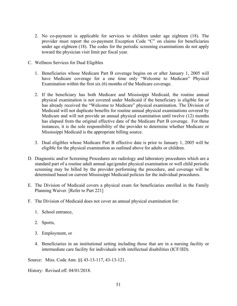- 2. No co-payment is applicable for services to children under age eighteen (18). The provider must report the co-payment Exception Code "C" on claims for beneficiaries under age eighteen (18). The codes for the periodic screening examinations do not apply toward the physician visit limit per fiscal year.
- C. Wellness Services for Dual Eligibles
	- 1. Beneficiaries whose Medicare Part B coverage begins on or after January 1, 2005 will have Medicare coverage for a one time only "Welcome to Medicare" Physical Examination within the first six (6) months of the Medicare coverage.
	- 2. If the beneficiary has both Medicare and Mississippi Medicaid, the routine annual physical examination is not covered under Medicaid if the beneficiary is eligible for or has already received the "Welcome to Medicare" physical examination. The Division of Medicaid will not duplicate benefits for routine annual physical examinations covered by Medicare and will not provide an annual physical examination until twelve (12) months has elapsed from the original effective date of the Medicare Part B coverage. For these instances, it is the sole responsibility of the provider to determine whether Medicare or Mississippi Medicaid is the appropriate billing source.
	- 3. Dual eligibles whose Medicare Part B effective date is prior to January 1, 2005 will be eligible for the physical examination as outlined above for adults or children.
- D. Diagnostic and/or Screening Procedures are radiology and laboratory procedures which are a standard part of a routine adult annual age/gender physical examination or well child periodic screening may be billed by the provider performing the procedure, and coverage will be determined based on current Mississippi Medicaid policies for the individual procedures.
- E. The Division of Medicaid covers a physical exam for beneficiaries enrolled in the Family Planning Waiver. [Refer to Part 221]
- F. The Division of Medicaid does not cover an annual physical examination for:
	- 1. School entrance,
	- 2. Sports,
	- 3. Employment, or
	- 4. Beneficiaries in an institutional setting including those that are in a nursing facility or intermediate care facility for individuals with intellectual disabilities (ICF/IID).

Source: Miss. Code Ann. §§ 43-13-117, 43-13-121.

History: Revised eff. 04/01/2018.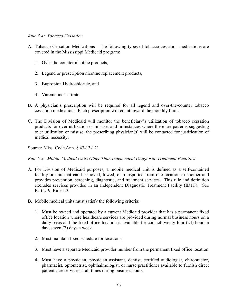## <span id="page-55-0"></span>*Rule 5.4: Tobacco Cessation*

- A. Tobacco Cessation Medications The following types of tobacco cessation medications are covered in the Mississippi Medicaid program:
	- 1. Over-the-counter nicotine products,
	- 2. Legend or prescription nicotine replacement products,
	- 3. Bupropion Hydrochloride, and
	- 4. Varenicline Tartrate.
- B. A physician's prescription will be required for all legend and over-the-counter tobacco cessation medications. Each prescription will count toward the monthly limit.
- C. The Division of Medicaid will monitor the beneficiary's utilization of tobacco cessation products for over utilization or misuse; and in instances where there are patterns suggesting over utilization or misuse, the prescribing physician(s) will be contacted for justification of medical necessity.

Source: Miss. Code Ann. § 43-13-121

<span id="page-55-1"></span>*Rule 5.5: Mobile Medical Units Other Than Independent Diagnostic Treatment Facilities* 

- A. For Division of Medicaid purposes, a mobile medical unit is defined as a self-contained facility or unit that can be moved, towed, or transported from one location to another and provides prevention, screening, diagnostic, and treatment services. This rule and definition excludes services provided in an Independent Diagnostic Treatment Facility (IDTF). See Part 219, Rule 1.3.
- B. Mobile medical units must satisfy the following criteria:
	- 1. Must be owned and operated by a current Medicaid provider that has a permanent fixed office location where healthcare services are provided during normal business hours on a daily basis and the fixed office location is available for contact twenty-four (24) hours a day, seven (7) days a week.
	- 2. Must maintain fixed schedule for locations.
	- 3. Must have a separate Medicaid provider number from the permanent fixed office location
	- 4. Must have a physician, physician assistant, dentist, certified audiologist, chiropractor, pharmacist, optometrist, ophthalmologist, or nurse practitioner available to furnish direct patient care services at all times during business hours.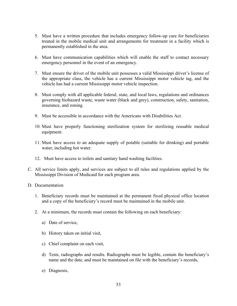- 5. Must have a written procedure that includes emergency follow-up care for beneficiaries treated in the mobile medical unit and arrangements for treatment in a facility which is permanently established in the area.
- 6. Must have communication capabilities which will enable the staff to contact necessary emergency personnel in the event of an emergency.
- 7. Must ensure the driver of the mobile unit possesses a valid Mississippi driver's license of the appropriate class, the vehicle has a current Mississippi motor vehicle tag, and the vehicle has had a current Mississippi motor vehicle inspection.
- 8. Must comply with all applicable federal, state, and local laws, regulations and ordinances governing biohazard waste, waste water (black and grey), construction, safety, sanitation, insurance, and zoning.
- 9. Must be accessible in accordance with the Americans with Disabilities Act.
- 10. Must have properly functioning sterilization system for sterilizing reusable medical equipment.
- 11. Must have access to an adequate supply of potable (suitable for drinking) and portable water, including hot water.
- 12. Must have access to toilets and sanitary hand washing facilities.
- C. All service limits apply, and services are subject to all rules and regulations applied by the Mississippi Division of Medicaid for each program area.
- D. Documentation
	- 1. Beneficiary records must be maintained at the permanent fixed physical office location and a copy of the beneficiary's record must be maintained in the mobile unit.
	- 2. At a minimum, the records must contain the following on each beneficiary:
		- a) Date of service,
		- b) History taken on initial visit,
		- c) Chief complaint on each visit,
		- d) Tests, radiographs and results. Radiographs must be legible, contain the beneficiary's name and the date, and must be maintained on file with the beneficiary's records,
		- e) Diagnosis,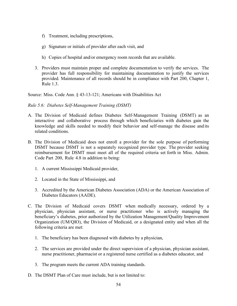- f) Treatment, including prescriptions,
- g) Signature or initials of provider after each visit, and
- h) Copies of hospital and/or emergency room records that are available.
- 3. Providers must maintain proper and complete documentation to verify the services. The provider has full responsibility for maintaining documentation to justify the services provided. Maintenance of all records should be in compliance with Part 200, Chapter 1, Rule 1.3.

Source: Miss. Code Ann. § 43-13-121; Americans with Disabilities Act

<span id="page-57-0"></span>*Rule 5.6: Diabetes Self-Management Training (DSMT)*

- A. The Division of Medicaid defines Diabetes Self-Management Training (DSMT) as an interactive and collaborative process through which beneficiaries with diabetes gain the knowledge and skills needed to modify their behavior and self-manage the disease and its related conditions.
- B. The Division of Medicaid does not enroll a provider for the sole purpose of performing DSMT because DSMT is not a separately recognized provider type. The provider seeking reimbursement for DSMT must meet all of the required criteria set forth in Miss. Admin. Code Part 200, Rule 4.8 in addition to being:
	- 1. A current Mississippi Medicaid provider,
	- 2. Located in the State of Mississippi, and
	- 3. Accredited by the American Diabetes Association (ADA) or the American Association of Diabetes Educators (AADE).
- C. The Division of Medicaid covers DSMT when medically necessary, ordered by a physician, physician assistant, or nurse practitioner who is actively managing the beneficiary's diabetes, prior authorized by the Utilization Management/Quality Improvement Organization (UM/QIO), the Division of Medicaid, or a designated entity and when all the following criteria are met:
	- 1. The beneficiary has been diagnosed with diabetes by a physician,
	- 2. The services are provided under the direct supervision of a physician, physician assistant, nurse practitioner, pharmacist or a registered nurse certified as a diabetes educator, and
	- 3. The program meets the current ADA training standards.
- D. The DSMT Plan of Care must include, but is not limited to: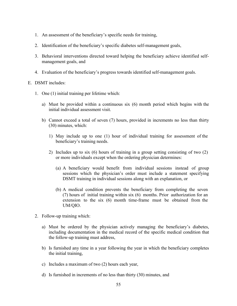- 1. An assessment of the beneficiary's specific needs for training,
- 2. Identification of the beneficiary's specific diabetes self-management goals,
- 3. Behavioral interventions directed toward helping the beneficiary achieve identified selfmanagement goals, and
- 4. Evaluation of the beneficiary's progress towards identified self-management goals.
- E. DSMT includes:
	- 1. One (1) initial training per lifetime which:
		- a) Must be provided within a continuous six (6) month period which begins with the initial individual assessment visit.
		- b) Cannot exceed a total of seven (7) hours, provided in increments no less than thirty (30) minutes, which:
			- 1) May include up to one (1) hour of individual training for assessment of the beneficiary's training needs.
			- 2) Includes up to six (6) hours of training in a group setting consisting of two (2) or more individuals except when the ordering physician determines:
				- (a) A beneficiary would benefit from individual sessions instead of group sessions which the physician's order must include a statement specifying DSMT training in individual sessions along with an explanation, or
				- (b) A medical condition prevents the beneficiary from completing the seven (7) hours of initial training within six (6) months. Prior authorization for an extension to the six (6) month time-frame must be obtained from the UM/QIO.
	- 2. Follow-up training which:
		- a) Must be ordered by the physician actively managing the beneficiary's diabetes, including documentation in the medical record of the specific medical condition that the follow-up training must address,
		- b) Is furnished any time in a year following the year in which the beneficiary completes the initial training,
		- c) Includes a maximum of two (2) hours each year,
		- d) Is furnished in increments of no less than thirty (30) minutes, and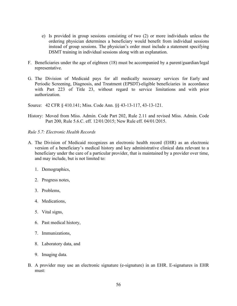- e) Is provided in group sessions consisting of two (2) or more individuals unless the ordering physician determines a beneficiary would benefit from individual sessions instead of group sessions. The physician's order must include a statement specifying DSMT training in individual sessions along with an explanation.
- F. Beneficiaries under the age of eighteen (18) must be accompanied by a parent/guardian/legal representative.
- G. The Division of Medicaid pays for all medically necessary services for Early and Periodic Screening, Diagnosis, and Treatment (EPSDT)-eligible beneficiaries in accordance with Part 223 of Title 23, without regard to service limitations and with prior authorization.

Source: 42 CFR § 410.141; Miss. Code Ann. §§ 43-13-117, 43-13-121.

- History: Moved from Miss. Admin. Code Part 202, Rule 2.11 and revised Miss. Admin. Code Part 200, Rule 5.6.C. eff. 12/01/2015; New Rule eff. 04/01/2015.
- *Rule 5.7: Electronic Health Records*
- A. The Division of Medicaid recognizes an electronic health record (EHR) as an electronic version of a beneficiary's medical history and key administrative clinical data relevant to a beneficiary under the care of a particular provider, that is maintained by a provider over time, and may include, but is not limited to:
	- 1. Demographics,
	- 2. Progress notes,
	- 3. Problems,
	- 4. Medications,
	- 5. Vital signs,
	- 6. Past medical history,
	- 7. Immunizations,
	- 8. Laboratory data, and
	- 9. Imaging data.
- B. A provider may use an electronic signature (e-signature) in an EHR. E-signatures in EHR must: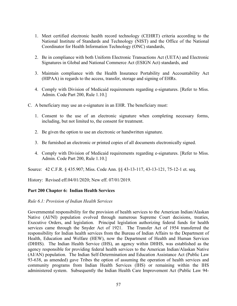- 1. Meet certified electronic health record technology (CEHRT) criteria according to the National Institute of Standards and Technology (NIST) and the Office of the National Coordinator for Health Information Technology (ONC) standards,
- 2. Be in compliance with both Uniform Electronic Transactions Act (UETA) and Electronic Signatures in Global and National Commerce Act (ESIGN Act) standards, and
- 3. Maintain compliance with the Health Insurance Portability and Accountability Act (HIPAA) in regards to the access, transfer, storage and signing of EHRs.
- 4. Comply with Division of Medicaid requirements regarding e-signatures. [Refer to Miss. Admin. Code Part 200, Rule 1.10.]
- C. A beneficiary may use an e-signature in an EHR. The beneficiary must:
	- 1. Consent to the use of an electronic signature when completing necessary forms, including, but not limited to, the consent for treatment.
	- 2. Be given the option to use an electronic or handwritten signature.
	- 3. Be furnished an electronic or printed copies of all documents electronically signed.
	- 4. Comply with Division of Medicaid requirements regarding e-signatures. [Refer to Miss. Admin. Code Part 200, Rule 1.10.]

Source: 42 C.F.R. § 435.907; Miss. Code Ann. §§ 43-13-117, 43-13-121, 75-12-1 et. seq.

History: Revised eff.04/01/2020; New eff. 07/01/2019.

## <span id="page-60-0"></span>**Part 200 Chapter 6: Indian Health Services**

#### <span id="page-60-1"></span>*Rule 6.1: Provision of Indian Health Services*

Governmental responsibility for the provision of health services to the American Indian/Alaskan Native (AI/NI) population evolved through numerous Supreme Court decisions, treaties, Executive Orders, and legislation. Principal legislation authorizing federal funds for health services came through the Snyder Act of 1921. The Transfer Act of 1954 transferred the responsibility for Indian health services from the Bureau of Indian Affairs to the Department of Health, Education and Welfare (HEW), now the Department of Health and Human Services (DHHS). The Indian Health Service (IHS), an agency within DHHS, was established as the agency responsible for providing federal health services to the American Indian/Alaskan Native (AI/AN) population. The Indian Self-Determination and Education Assistance Act (Public Law 93-638, as amended) gave Tribes the option of assuming the operation of health services and community programs from Indian Health Services (IHS) or remaining within the IHS administered system. Subsequently the Indian Health Care Improvement Act (Public Law 94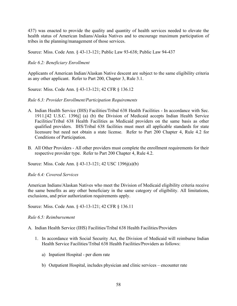437) was enacted to provide the quality and quantity of health services needed to elevate the health status of American Indians/Alaska Natives and to encourage maximum participation of tribes in the planning/management of those services.

Source: Miss. Code Ann. § 43-13-121; Public Law 93-638; Public Law 94-437

## <span id="page-61-0"></span>*Rule 6.2: Beneficiary Enrollment*

Applicants of American Indian/Alaskan Native descent are subject to the same eligibility criteria as any other applicant. Refer to Part 200, Chapter 3, Rule 3.1.

Source: Miss. Code Ann. § 43-13-121; 42 CFR § 136.12

## <span id="page-61-1"></span>*Rule 6.3: Provider Enrollment/Participation Requirements*

- A. Indian Health Service (IHS) Facilities/Tribal 638 Health Facilities In accordance with Sec. 1911.[42 U.S.C. 1396j] (a) (b) the Division of Medicaid accepts Indian Health Service Facilities/Tribal 638 Health Facilities as Medicaid providers on the same basis as other qualified providers. IHS/Tribal 638 facilities must meet all applicable standards for state licensure but need not obtain a state license. Refer to Part 200 Chapter 4, Rule 4.2 for Conditions of Participation.
- B. All Other Providers All other providers must complete the enrollment requirements for their respective provider type. Refer to Part 200 Chapter 4, Rule 4.2.

Source: Miss. Code Ann. § 43-13-121; 42 USC 1396j(a)(b)

#### <span id="page-61-2"></span>*Rule 6.4: Covered Services*

American Indians/Alaskan Natives who meet the Division of Medicaid eligibility criteria receive the same benefits as any other beneficiary in the same category of eligibility. All limitations, exclusions, and prior authorization requirements apply.

Source: Miss. Code Ann. § 43-13-121; 42 CFR § 136.11

#### <span id="page-61-3"></span>*Rule 6.5: Reimbursement*

A. Indian Health Service (IHS) Facilities/Tribal 638 Health Facilities/Providers

- 1. In accordance with Social Security Act, the Division of Medicaid will reimburse Indian Health Service Facilities/Tribal 638 Health Facilities/Providers as follows:
	- a) Inpatient Hospital per diem rate
	- b) Outpatient Hospital, includes physician and clinic services encounter rate